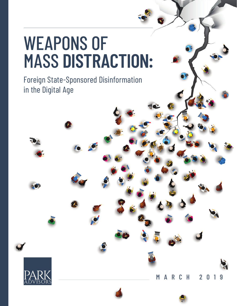## WEAPONS OF MASS **DISTRACTION:**

Foreign State-Sponsored Disinformation in the Digital Age



**MARCH 2019**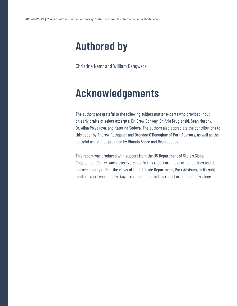### **Authored by**

Christina Nemr and William Gangware

### **Acknowledgements**

The authors are grateful to the following subject matter experts who provided input on early drafts of select excerpts: Dr. Drew Conway, Dr. Arie Kruglanski, Sean Murphy, Dr. Alina Polyakova, and Katerina Sedova. The authors also appreciate the contributions to this paper by Andrew Rothgaber and Brendan O'Donoghue of Park Advisors, as well as the editorial assistance provided by Rhonda Shore and Ryan Jacobs.

This report was produced with support from the US Department of State's Global Engagement Center. Any views expressed in this report are those of the authors and do not necessarily reflect the views of the US State Department, Park Advisors, or its subject matter expert consultants. Any errors contained in this report are the authors' alone.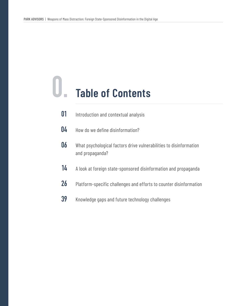## **0. Table of Contents**

- Introduction and contextual analysis **01**
- How do we define disinformation? **04**
- What psychological factors drive vulnerabilities to disinformation and propaganda? **06**
- A look at foreign state-sponsored disinformation and propaganda **14**
- Platform-specific challenges and efforts to counter disinformation **26**
- Knowledge gaps and future technology challenges **39**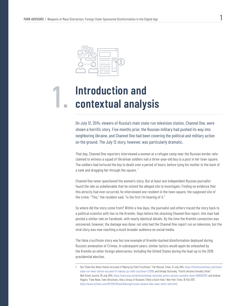**1.**



### **Introduction and contextual analysis**

On July 12, 2014, viewers of Russia's main state-run television station, Channel One, were shown a horrific story. Five months prior, the Russian military had pushed its way into neighboring Ukraine, and Channel One had been covering the political and military action on the ground. The July 12 story, however, was particularly dramatic.

That day, Channel One reporters interviewed a woman at a refugee camp near the Russian border, who claimed to witness a squad of Ukrainian soldiers nail a three-year-old boy to a post in her town square. The soldiers had tortured the boy to death over a period of hours, before tying his mother to the back of a tank and dragging her through the square.<sup>1</sup>

Channel One never questioned the woman's story. But at least one independent Russian journalist found the tale so unbelievable that he visited the alleged site to investigate. Finding no evidence that this atrocity had ever occurred, he interviewed one resident in the town square, the supposed site of the crime. "This," the resident said, "is the first I'm hearing of it."

So where did the story come from? Within a few days, the journalist and others traced the story back to a political scientist with ties to the Kremlin. Days before the shocking Channel One report, this man had posted a similar tale on Facebook, with nearly identical details. By the time the Kremlin connection was uncovered, however, the damage was done: not only had the Channel One report run on television, but the viral story was now reaching a much broader audience on social media.

The false crucifixion story was but one example of Kremlin-backed disinformation deployed during Russia's annexation of Crimea. In subsequent years, similar tactics would again be unleashed by the Kremlin on other foreign adversaries, including the United States during the lead-up to the 2016 presidential election.

<sup>1</sup>. See "State-Run News Station Accused of Making Up Child Crucifixion," *The Moscow Times*, 14 July 2014, https://themoscowtimes.com/news/ state-run-news-station-accused-of-making-up-child-crucifixion-37289; and Arkady Ostrovsky, "Putin's Ukraine Unreality Show," *Wall Street Journal*, 28 July 2014, https://www.wsj.com/articles/arkady-ostrovsky-putins-ukraine-unreality-show-1406590397; and Andrew Higgins, "Fake News, Fake Ukrainians, How a Group of Russians Tilted a Dutch Vote," *New York Times*, 16 Feb 2017, https://www.nytimes.com/2017/02/16/world/europe/russia-ukraine-fake-news-dutch-vote.html.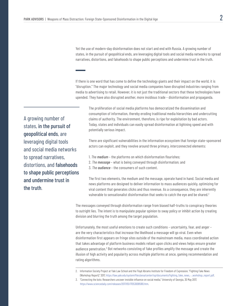Yet the use of modern-day disinformation does not start and end with Russia. A growing number of states, in the pursuit of geopolitical ends, are leveraging digital tools and social media networks to spread narratives, distortions, and falsehoods to shape public perceptions and undermine trust in the truth.

If there is one word that has come to define the technology giants and their impact on the world, it is "disruption." The major technology and social media companies have disrupted industries ranging from media to advertising to retail. However, it is not just the traditional sectors that these technologies have upended. They have also disrupted another, more insidious trade – disinformation and propaganda.

A growing number of states, in the pursuit of geopolitical ends, are leveraging digital tools and social media networks to spread narratives, distortions, and falsehoods to shape public perceptions and undermine trust in the truth.

The proliferation of social media platforms has democratized the dissemination and consumption of information, thereby eroding traditional media hierarchies and undercutting claims of authority. The environment, therefore, is ripe for exploitation by bad actors. Today, states and individuals can easily spread disinformation at lightning speed and with potentially serious impact.

There are significant vulnerabilities in the information ecosystem that foreign state-sponsored actors can exploit, and they revolve around three primary, interconnected elements:

- 1. *The medium* the platforms on which disinformation flourishes;
- 2. *The message* what is being conveyed through disinformation; and
- 3. *The audience* the consumers of such content.

The first two elements, the medium and the message, operate hand in hand. Social media and news platforms are designed to deliver information to mass audiences quickly, optimizing for viral content that generates clicks and thus revenue. As a consequence, they are inherently vulnerable to sensationalist disinformation that seeks to catch the eye and be shared.<sup>2</sup>

The messages conveyed through disinformation range from biased half-truths to conspiracy theories to outright lies. The intent is to manipulate popular opinion to sway policy or inhibit action by creating division and blurring the truth among the target population.

Unfortunately, the most useful emotions to create such conditions – uncertainty, fear, and anger – are the very characteristics that increase the likelihood a message will go viral. Even when disinformation first appears on fringe sites outside of the mainstream media, mass coordinated action that takes advantage of platform business models reliant upon clicks and views helps ensure greater audience penetration. $^3$  Bot networks consisting of fake profiles amplify the message and create the illusion of high activity and popularity across multiple platforms at once, gaming recommendation and rating algorithms.

<sup>2.</sup> Information Society Project at Yale Law School and the Floyd Abrams Institute for Freedom of Expression, "Fighting Fake News (Workshop Report)," 2017, https://law.yale.edu/system/files/area/center/isp/documents/fighting\_fake\_news\_-\_workshop\_report.pdf.

<sup>3. &</sup>quot;Connecting the bots: Researchers uncover invisible influence on social media," University of Georgia, 30 May 2017, https://www.sciencedaily.com/releases/2017/05/170530095910.htm.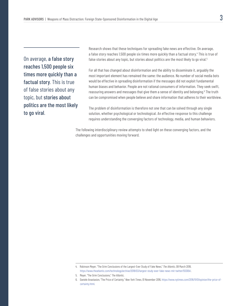On average, a false story reaches 1,500 people six times more quickly than a factual story. This is true of false stories about any topic, but stories about politics are the most likely to go viral.

Research shows that these techniques for spreading fake news are effective. On average, a false story reaches 1,500 people six times more quickly than a factual story.<sup>4</sup> This is true of false stories about any topic, but stories about politics are the most likely to go viral.<sup>5</sup>

For all that has changed about disinformation and the ability to disseminate it, arguably the most important element has remained the same: the audience. No number of social media bots would be effective in spreading disinformation if the messages did not exploit fundamental human biases and behavior. People are not rational consumers of information. They seek swift, reassuring answers and messages that give them a sense of identity and belonging.<sup>6</sup> The truth can be compromised when people believe and share information that adheres to their worldview.

The problem of disinformation is therefore not one that can be solved through any single solution, whether psychological or technological. An effective response to this challenge requires understanding the converging factors of technology, media, and human behaviors.

The following interdisciplinary review attempts to shed light on these converging factors, and the challenges and opportunities moving forward.

<sup>4.</sup> Robinson Meyer, "The Grim Conclusions of the Largest-Ever Study of Fake News," *The Atlantic*, 08 March 2018, https://www.theatlantic.com/technology/archive/2018/03/largest-study-ever-fake-news-mit-twitter/555104/.

<sup>5.</sup> Meyer, "The Grim Conclusions," *The Atlantic*.

<sup>6.</sup> Daniele Anastasion, "The Price of Certainty," *New York Times*, 01 November 2016, https://www.nytimes.com/2016/11/01/opinion/the-price-ofcertainty.html.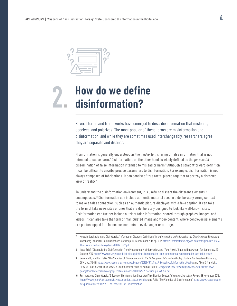

### **How do we define disinformation? 2.**

Several terms and frameworks have emerged to describe information that misleads, deceives, and polarizes. The most popular of these terms are misinformation and disinformation, and while they are sometimes used interchangeably, researchers agree they are separate and distinct.

Misinformation is generally understood as the *inadvertent* sharing of false information that is not intended to cause harm.7 Disinformation, on the other hand, is widely defined as the *purposeful* dissemination of false information intended to mislead or harm.<sup>8</sup> Although a straightforward definition, it can be difficult to ascribe precise parameters to disinformation. For example, disinformation is not always composed of fabrications. It can consist of true facts, pieced together to portray a distorted view of reality.<sup>9</sup>

To understand the disinformation environment, it is useful to dissect the different elements it encompasses.<sup>10</sup> Disinformation can include authentic material used in a deliberately wrong context to make a false connection, such as an authentic picture displayed with a fake caption. It can take the form of fake news sites or ones that are deliberately designed to look like well-known sites. Disinformation can further include outright false information, shared through graphics, images, and videos. It can also take the form of manipulated image and video content, where controversial elements are photoshopped into innocuous contexts to evoke anger or outrage.

<sup>7.</sup> Hossein Derakhshan and Clair Wardle, "Information Disorder: Definitions" in *Understanding and Addressing the Disinformation Ecosystem*, Annenberg School for Communications workshop, 15-16 December 2017, pp. 5-12, https://firstdraftnews.org/wp-content/uploads/2018/03/ The-Disinformation-Ecosystem-20180207-v2.pdf.

<sup>8.</sup> Issue Brief: "Distinguishing Disinformation from Propaganda, Misinformation, and "Fake News"," National Endowment for Democracy, 17 October 2017, https://www.ned.org/issue-brief-distinguishing-disinformation-from-propaganda-misinformation-and-fake-news/.

<sup>9.</sup> See note 82 ; and Don Fallis, "The Varieties of Disinformation" in *The Philosophy of Information Quality* [Boston: Northeastern University, 2014], pp.135-161, https://www.researchgate.net/publication/321554157\_The\_Philosophy\_of\_Information\_Quality; and Alice E. Marwick,\_ "Why Do People Share Fake News? A Sociotechnical Model of Media Effects," *Georgetown Law Technology Review, 2018*, https://www. georgetownlawtechreview.org/wp-content/uploads/2018/07/2.2-Marwick-pp-474-512.pdf.

<sup>10.</sup> For more, see Claire Wardle, "6 Types of Misinformation Circulated This Election Season," *Columbia Journalism Review*, 18 November 2016, https://www.cjr.org/tow\_center/6\_types\_election\_fake\_news.php; and Fallis, "The Varieties of Disinformation," https://www.researchgate. net/publication/278692847\_The\_Varieties\_of\_Disinformation.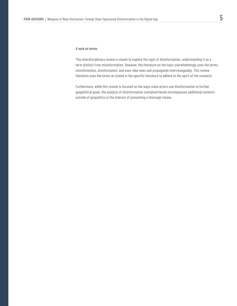This interdisciplinary review is meant to explore the topic of disinformation, understanding it as a term distinct from misinformation. However, the literature on the topic overwhelmingly uses the terms *misinformation*, *disinformation*, and even *fake news* and *propaganda* interchangeably. This review therefore uses the terms as stated in the specific literature to adhere to the spirit of the research.

Furthermore, while this review is focused on the ways state actors use disinformation to further geopolitical goals, the analysis of disinformation contained herein encompasses additional contexts outside of geopolitics in the interest of presenting a thorough review.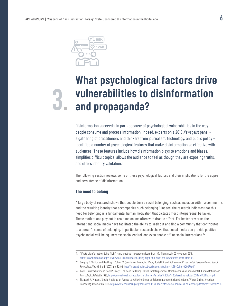

## **What psychological factors drive vulnerabilities to disinformation 3. and propaganda?**

Disinformation succeeds, in part, because of psychological vulnerabilities in the way people consume and process information. Indeed, experts on a 2018 *Newsgeist* panel – a gathering of practitioners and thinkers from journalism, technology, and public policy – identified a number of psychological features that make disinformation so effective with audiences. These features include how disinformation plays to emotions and biases, simplifies difficult topics, allows the audience to feel as though they are exposing truths, and offers identity validation.<sup>11</sup>

The following section reviews some of these psychological factors and their implications for the appeal and persistence of disinformation.

### **The need to belong**

A large body of research shows that people desire social belonging, such as inclusion within a community, and the resulting identity that accompanies such belonging.12 Indeed, the research indicates that this need for belonging is a fundamental human motivation that dictates most interpersonal behavior.<sup>13</sup> These motivations play out in real time online, often with drastic effect. For better or worse, the internet and social media have facilitated the ability to seek out and find a community that contributes to a person's sense of belonging. In particular, research shows that social media can provide positive psychosocial well-being, increase social capital, and even enable offline social interactions.<sup>14</sup>

<sup>11</sup>. "What's disinformation doing "right" – and what can newsrooms learn from it?," NiemanLab, 02 November 2018, http://www.niemanlab.org/2018/11/whats-disinformation-doing-right-and-what-can-newsrooms-learn-from-it/.

<sup>12.</sup> Gregory M. Walton and Geoffrey L Cohen, "A Question of Belonging: Race, Social Fit, and Achievement," *Journal of Personality and Social Psycholog*y, Vol. 92, No. 1, (2007), pp. 82-96, http://lmcreadinglist.pbworks.com/f/Walton+%26+Cohen+(2007).pdf.

<sup>13.</sup> Roy F. Bauermeister and Mark R. Leary, "The Need to Belong: Desire for Interpersonal Attachments as a Fundamental Human Motivation," *Psychological Bulletin*, 1995, http://persweb.wabash.edu/facstaff/hortonr/articles%20for%20class/baumeister%20and%20leary.pdf.

<sup>14.</sup> Elizabeth A. Vincent, "Social Media as an Avenue to Achieving Sense of Belonging Among College Students," Vistas Online, American Counseling Association, 2016, https://www.counseling.org/docs/default-source/vistas/social-media-as-an-avenue.pdf?sfvrsn=f684492c\_8.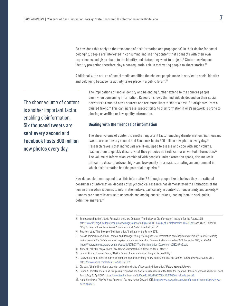So how does this apply to the resonance of disinformation and propaganda? In their desire for social belonging, people are interested in consuming and sharing content that connects with their own experiences and gives shape to the identity and status they want to project.<sup>15</sup> Status-seeking and identity projection therefore play a consequential role in motivating people to share stories.<sup>16</sup>

Additionally, the nature of social media amplifies the choices people make in service to social identity and belonging because its activity takes place in a public forum.<sup>17</sup>

The sheer volume of content is another important factor enabling disinformation. Six thousand tweets are sent every second and Facebook hosts 300 million new photos every day.

The implications of social identity and belonging further extend to the sources people trust when consuming information. Research shows that individuals depend on their social networks as trusted news sources and are more likely to share a post if it originates from a trusted friend.18 This can increase susceptibility to disinformation if one's network is prone to sharing unverified or low-quality information.

### **Dealing with the firehose of information**

The sheer volume of content is another important factor enabling disinformation. Six thousand tweets are sent every second and Facebook hosts 300 million new photos every day.19 Research reveals that individuals are ill-equipped to assess and cope with such volume, leading them to quickly discard what they perceive as irrelevant or unwanted information.<sup>20</sup> The volume of information, combined with people's limited attention spans, also makes it difficult to discern between high- and low-quality information, creating an environment in which disinformation has the potential to go viral.<sup>21</sup>

How do people then respond to all this information? Although people like to believe they are rational consumers of information, decades of psychological research has demonstrated the limitations of the human brain when it comes to information intake, particularly in contexts of uncertainty and anxiety.<sup>22</sup> Humans are generally averse to uncertain and ambiguous situations, leading them to seek quick, definitive answers.<sup>23</sup>

- 16. Rushkoff et al, "The Biology of Disinformation," Institute for the Future, 2018.
- 17. Natalie Jomini Stroud, Emily Thorson, and Dannagal Young, "Making Sense of Information and Judging its Credibility" in *Understanding and Addressing the Disinformation Ecosystem*, Annenberg School for Communications workshop,15-16 December 2017, pp. 45 -50 https://firstdraftnews.org/wp-content/uploads/2018/03/The-Disinformation-Ecosystem-20180207-v2.pdf.
- 18. Marwick, "Why Do People Share Fake News? A Sociotechnical Model of Media Effects."
- 19. Jomini Stroud, Thorson, Young, "Making Sense of Information and Judging its Credibility."
- 20. Xiaoyan Qiu et al, "Limited individual attention and online virality of low-quality information," *Nature Human Behavior*, 26 June 2017, https://www.nature.com/articles/s41562-017-0132.
- 21. Qiu et al, "Limited individual attention and online virality of low-quality information," *Nature Human Behavior*.
- 22. Donna M. Webster and Arie W. Kruglanski, "Cognitive and Social Consequences of the Need for Cognitive Closure," *European Review of Social Psychology*, 15 April 2011, https://www.tandfonline.com/doi/abs/10.1080/14792779643000100?journalCode=pers20.
- 23. Maria Konnikova, "Why We Need Answers," *The New Yorker*, 30 April 2013, https://www.newyorker.com/tech/annals-of-technology/why-weneed-answers.

<sup>15.</sup> See Douglas Rushkoff, David Pescovitz, and Jake Dunagan, "The Biology of Disinformation," Institute for the Future, 2018, http://www.iftf.org/fileadmin/user\_upload/images/ourwork/digintel/IFTF\_biology\_of\_disinformation\_062718.pdf; and Alice E. Marwick, "Why Do People Share Fake News? A Sociotechnical Model of Media Effects."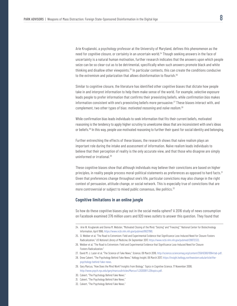Arie Kruglanski, a psychology professor at the University of Maryland, defines this phenomenon as the need for *cognitive closure*, or certainty in an uncertain world.24 Though seeking answers in the face of uncertainty is a natural human motivation, further research indicates that the answers upon which people seize can be so clear-cut as to be detrimental, specifically when such answers promote black and white thinking and disallow other viewpoints.25 In particular contexts, this can create the conditions conducive to the extremism and polarization that allows disinformation to flourish.<sup>26</sup>

Similar to cognitive closure, the literature has identified other cognitive biases that dictate how people take in and interpret information to help them make sense of the world. For example, *selective exposure* leads people to prefer information that confirms their preexisting beliefs, while *confirmation bias* makes information consistent with one's preexisting beliefs more persuasive.27 These biases interact with, and complement, two other types of bias: *motivated reasoning* and *naïve realism*. 28

While confirmation bias leads individuals to seek information that fits their current beliefs, motivated reasoning is the tendency to apply higher scrutiny to unwelcome ideas that are inconsistent with one's ideas or beliefs.29 In this way, people use motivated reasoning to further their quest for social identity and belonging.

Further entrenching the effects of these biases, the research shows that naïve realism plays an important role during the intake and assessment of information. Naïve realism leads individuals to believe that their perception of reality is the only accurate view, and that those who disagree are simply uninformed or irrational.30

These cognitive biases show that although individuals may believe their convictions are based on higher principles, in reality people process moral-political statements as preferences as opposed to hard facts.<sup>31</sup> Given that preferences change throughout one's life, particular convictions may also change in the right context of persuasion, attitude change, or social network. This is especially true of convictions that are more controversial or subject to mixed public consensus, like politics.<sup>32</sup>

### **Cognitive limitations in an online jungle**

So how do these cognitive biases play out in the social media sphere? A 2016 study of news consumption on Facebook examined 376 million users and 920 news outlets to answer this question. They found that

- 25. D. Webber et al, "The Road to Extremism: Field and Experimental Evidence that Significance Loss-Induced Need for Closure Fosters Radicalization," *US National Library of Medicine*, 04 September 2017, https://www.ncbi.nlm.nih.gov/pubmed/28872332.
- 26. Webber et al, "The Road to Extremism: Field and Experimental Evidence that Significance Loss-Induced Need for Closure Fosters Radicalization."
- 27. David M. J. Lazer et al, "The Science of Fake News," *Science*, 09 March 2018, http://science.sciencemag.org/content/359/6380/1094/tab-pdf.
- 28. Drew Calvert, "The Psychology Behind Fake News," *Kellogg Insight*, 06 March 2017, https://insight.kellogg.northwestern.edu/article/thepsychology-behind-fake-news.
- 29. Gary Marcus, "How Does the Mind Work? Insights from Biology," *Topics in Cognitive Science*, 17 November 2008, http://www.psych.nyu.edu/gary/marcusArticles/Marcus%202009%20topics.pdf.
- 30. Calvert, "The Psychology Behind Fake News."
- 31. Calvert, "The Psychology Behind Fake News."
- 32. Calvert, "The Psychology Behind Fake News."

<sup>24.</sup> Arie W. Kruglanski and Donna M. Webster, "Motivated Closing of the Mind: "Seizing" and "Freezing"," National Center for Biotechnology Information, April 1996, https://www.ncbi.nlm.nih.gov/pubmed/8637961.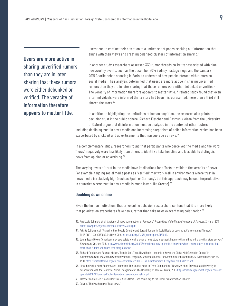### Users are more active in sharing unverified rumors than they are in later sharing that these rumors were either debunked or verified. The veracity of information therefore appears to matter little.

users tend to confine their attention to a limited set of pages, seeking out information that aligns with their views and creating polarized clusters of information sharing.<sup>33</sup>

In another study, researchers assessed 330 rumor threads on Twitter associated with nine newsworthy events, such as the December 2014 Sydney hostage siege and the January 2015 Charlie Hebdo shooting in Paris, to understand how people interact with rumors on social media. Their analysis determined that users are more active in sharing unverified rumors than they are in later sharing that these rumors were either debunked or verified.<sup>34</sup> The veracity of information therefore appears to matter little. A related study found that even after individuals were informed that a story had been misrepresented, more than a third still shared the story.<sup>35</sup>

In addition to highlighting the limitations of human cognition, the research also points to declining trust in the public sphere. Richard Fletcher and Rasmus Nielsen from the University of Oxford argue that disinformation must be analyzed in the context of other factors,

including declining trust in news media and increasing skepticism of online information, which has been exacerbated by clickbait and advertisements that masquerade as news.<sup>36</sup>

In a complementary study, researchers found that participants who perceived the media and the word "news" negatively were less likely than others to identify a fake headline and less able to distinguish news from opinion or advertising.37

The varying levels of trust in the media have implications for efforts to validate the veracity of news. For example, tagging social media posts as "verified" may work well in environments where trust in news media is relatively high (such as Spain or Germany), but this approach may be counterproductive in countries where trust in news media is much lower (like Greece).<sup>38</sup>

### **Doubling down online**

Given the human motivations that drive online behavior, researchers contend that it is more likely that polarization exacerbates fake news, rather than fake news exacerbating polarization.<sup>39</sup>

- 35. Laura Hazard Owen, "Americans may appreciate knowing when a news story is suspect, but more than a third will share that story anyway," *Nieman Lab*, 29 June 2018, http://www.niemanlab.org/2018/06/americans-may-appreciate-knowing-when-a-news-story-is-suspect-butmore-than-a-third-will-share-that-story-anyway/.
- 36. Richard Fletcher and Rasmus Nielsen, "People Don't Trust News Media and this is Key to the Global Misinformation Debate" in *Understanding and Addressing the Disinformation Ecosystem*, Annenberg School for Communications workshop,15-16 December 2017, pp. 13-17, https://firstdraftnews.org/wp-content/uploads/2018/03/The-Disinformation-Ecosystem-20180207-v2.pdf.
- 37. "How the Public, News Sources, and Journalists Think about News in Three Communities," News Co/Lab at Arizona State University in collaboration with the Center for Media Engagement at The University of Texas at Austin, 2018, https://mediaengagement.org/wp-content/ uploads/2018/11/How-the-Public-News-Sources-and-Journalists.pdf.
- 38. Fletcher and Nielsen, "People Don't Trust News Media and this is Key to the Global Misinformation Debate."
- 39. Calvert, "The Psychology of Fake News."

<sup>33.</sup> Ana Lucia Schmidta et al, "Anatomy of news consumption on Facebook," *Proceedings of the National Academy of Sciences*, 21 March 2017, http://www.pnas.org/content/pnas/114/12/3035.full.pdf.

<sup>34.</sup> Arkaitz Zubiaga et al, "Analysing How People Orient to and Spread Rumors in Social Media by Looking at Conversational Threads," PLOS ONE 11 (3): e0150989, 04 March 2016, https://doi.org/10.1371/journal.pone.0150989.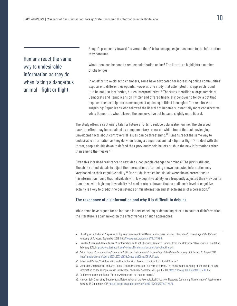Humans react the same way to undesirable information as they do when facing a dangerous animal – fight or flight.

People's propensity toward "us versus them" tribalism applies just as much to the information they consume.

What, then, can be done to reduce polarization online? The literature highlights a number of challenges.

In an effort to avoid echo chambers, some have advocated for increasing online communities' exposure to different viewpoints. However, one study that attempted this approach found it to be not just ineffective, but counterproductive.<sup>40</sup> The study identified a large sample of Democrats and Republicans on Twitter and offered financial incentives to follow a bot that exposed the participants to messages of opposing political ideologies. The results were surprising: Republicans who followed the liberal bot became substantially more conservative, while Democrats who followed the conservative bot became slightly more liberal.

The study offers a cautionary tale for future efforts to reduce polarization online. The observed backfire effect may be explained by complementary research, which found that acknowledging unwelcome facts about controversial issues can be threatening.<sup>41</sup> Humans react the same way to undesirable information as they do when facing a dangerous animal - fight or flight.<sup>42</sup> To deal with the threat, people double down to defend their previously held beliefs or shun the new information rather than amend their views.<sup>43</sup>

Given this ingrained resistance to new ideas, can people change their minds? The jury is still out. The ability of individuals to adjust their perceptions after being shown corrected information may vary based on their cognitive ability.<sup>44</sup> One study, in which individuals were shown corrections to misinformation, found that individuals with low cognitive ability less frequently adjusted their viewpoints than those with high cognitive ability.45 A similar study showed that an audience's level of cognitive activity is likely to predict the persistence of misinformation and effectiveness of a correction.<sup>46</sup>

### **The resonance of disinformation and why it is difficult to debunk**

While some have argued for an increase in fact-checking or debunking efforts to counter disinformation, the literature is again mixed on the effectiveness of such approaches.

- 42. Arthur Lupia, "Communicating Science in Politicized Environments," *Proceedings of the National Academy of Sciences*, 20 August 2013, http://media.wix.com/ugd/fa8393\_6973c3639e3c4bdfa2908cab10587cf4.pdf.
- 43. Nyhan and Reifler, "Misinformation and Fact-Checking: Research Findings from Social Science."
- 44. Jonas De Keersmaecker and Arne Roets, "'Fake news': Incorrect, but hard to correct. The role of cognitive ability on the impact of false information on social impressions," *Intelligence, Volume 65*, November 2017, pp. 107-110, https://doi.org/10.1016/j.intell.2017.10.005.
- 45. De Keersmaecker and Roets, "'Fake news': Incorrect, but hard to correct."
- 46. Man-pui Sally Chan et al, "Debunking: A Meta-Analysis of the Psychological Efficacy of Messages Countering Misinformation," *Psychological Science*, 12 September 2017, https://journals.sagepub.com/doi/full/10.1177/0956797617714579.

<sup>40.</sup> Christopher A. Bail et al, "Exposure to Opposing Views on Social Media Can Increase Political Polarization," *Proceedings of the National Academy of Sciences*, September 2018, http://www.pnas.org/content/115/37/9216.

<sup>41.</sup> Brendan Nyhan and Jason Reifler, "Misinformation and Fact-Checking: Research Findings from Social Science," New America Foundation, February 2012, https://www.dartmouth.edu/~nyhan/Misinformation\_and\_Fact-checking.pdf.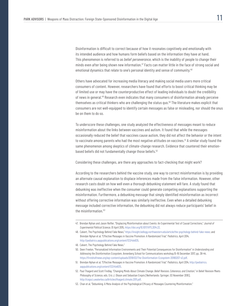Disinformation is difficult to correct because of how it resonates cognitively and emotionally with its intended audience and how humans form beliefs based on the information they have at hand. This phenomenon is referred to as *belief perseverance*, which is the inability of people to change their minds even after being shown new information.<sup>47</sup> Facts can matter little in the face of strong social and emotional dynamics that relate to one's personal identity and sense of community.<sup>48</sup>

Others have advocated for increasing media literacy and making social media users more critical consumers of content. However, researchers have found that efforts to boost critical thinking may be of limited use or may have the counterproductive effect of leading individuals to doubt the credibility of news in general.49 Research even indicates that many consumers of disinformation already perceive themselves as critical thinkers who are challenging the status quo.<sup>50</sup> The literature makes explicit that consumers are not well-equipped to identify certain messages as false or misleading, nor should the onus be on them to do so.

To underscore these challenges, one study analyzed the effectiveness of messages meant to reduce misinformation about the links between vaccines and autism. It found that while the messages occasionally reduced the belief that vaccines cause autism, they did not affect the behavior or the intent to vaccinate among parents who had the most negative attitudes on vaccines.<sup>51</sup> A similar study found the same phenomenon among skeptics of climate-change research. Evidence that countered their emotionbased beliefs did not fundamentally change those beliefs.<sup>52</sup>

Considering these challenges, are there any approaches to fact-checking that might work?

According to the researchers behind the vaccine study, one way to correct misinformation is by providing an alternate causal explanation to displace inferences made from the false information. However, other research casts doubt on how well even a thorough debunking statement will fare. A study found that debunking was ineffective when the consumer could generate competing explanations supporting the misinformation. Furthermore, a debunking message that simply identified misinformation as incorrect without offering corrective information was similarly ineffective. Even when a detailed debunking message included corrective information, the debunking did not always reduce participants' belief in the misinformation.<sup>53</sup>

<sup>47.</sup> Brendan Nyhan and Jason Reifler, "Displacing Misinformation about Events: An Experimental Test of Causal Corrections," *Journal of Experimental Political Science*, 01 April 2015, https://doi.org/10.1017/XPS.2014.22.

<sup>48.</sup> Calvert, The Psychology Behind Fake News," https://insight.kellogg.northwestern.edu/article/the-psychology-behind-fake-news; and Brendan Nyhan et al, "Effective Messages in Vaccine Promotion: A Randomized Trial," *Pediatrics*, April 2014, http://pediatrics.aappublications.org/content/133/4/e835.

<sup>49.</sup> Calvert, The Psychology Behind Fake News."

<sup>50.</sup> Deen Freelon, "Personalized Information Environments and Their Potential Consequences for Disinformation" in *Understanding and Addressing the Disinformation Ecosystem*, Annenberg School for Communications workshop,15-16 December 2017, pp. 38-44, https://firstdraftnews.org/wp-content/uploads/2018/03/The-Disinformation-Ecosystem-20180207-v2.pdf.

<sup>51.</sup> Brendan Nyhan et al, "Effective Messages in Vaccine Promotion: A Randomized Trial," *Pediatrics*, April 2014, http://pediatrics. aappublications.org/content/133/4/e835.

<sup>52.</sup> Paul Thagard and Scott Findlay, "Changing Minds About Climate Change: *Belief Revision, Coherence, and Emotion*," in Belief Revision Meets Philosophy of Science, eds. Eric J. Olsson and Sebastian Enqvis [Netherlands: Springer, 03 November 2010], http://cogsci.uwaterloo.ca/Articles/thagard.climate.2011.pdf.

<sup>53.</sup> Chan et al, "Debunking: A Meta-Analysis of the Psychological Efficacy of Messages Countering Misinformation."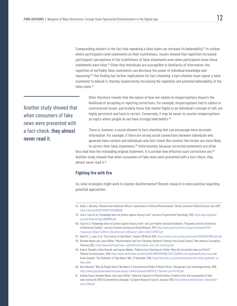Compounding matters is the fact that repeating a false claim can increase its believability.<sup>54</sup> In studies where participants rated statements on their truthfulness, results showed that repetition increased participants' perceptions of the truthfulness of false statements even when participants knew these statements were false.<sup>55</sup> Given that individuals are susceptible to familiarity of information, the repetition of verifiably false statements can decrease the power of individual knowledge and reasoning.56 This finding has further implications for fact-checking: a fact-checker must repeat a false statement to debunk it, thereby inadvertently increasing the repetition and potential believability of the false claim.<sup>57</sup>

Another study showed that when consumers of fake news were presented with a fact-check, they almost never read it.

Other literature reveals that the nature of how one relates to misperceptions impacts the likelihood of accepting or rejecting corrections. For example, misperceptions tied to salient or controversial issues, particularly those that matter highly to an individual's concept of self, are highly persistent and hard to correct. Conversely, it may be easier to counter misperceptions on topics where people do not have strongly held beliefs.<sup>58</sup>

There is, however, a social element to fact-checking that can encourage more accurate information. For example, if there are strong social connections between individuals who generate false content and individuals who fact-check this content, the former are more likely to correct their false statements.<sup>59</sup> Unfortunately, because corrected statements are often

less read than the misleading original statement, it is unclear how effective such corrections are.<sup>60</sup> Another study showed that when consumers of fake news were presented with a fact-check, they almost never read it.<sup>61</sup>

### **Fighting fire with fire**

So, what strategies might work to counter disinformation? Recent research is more positive regarding potential approaches.

- 55. Lisa K. Fazio et al, "Knowledge does not protect against illusory truth," *Journal of Experimental Psychology*, 2015, https://apa.org/pubs/ journals/features/xge-0000098.pdf.
- 56. Fazio et al, "Knowledge does not protect against illusory truth;" and Lynn Hasher and David Goldstein, "Frequency and the Conference of Referential Validity," *Journal of Verbal Learning and Verbal Behavior*, 1977, http://www.psych.utoronto.ca/users/hasherlab/PDF/ Frequency%20and%20the%20conference%20Hasher%20et%20al%201977.pdf.
- 57. David M. J. Lazer et al, "The Science of Fake News," *Science*, 09 March 2018, http://science.sciencemag.org/content/359/6380/1094/tab-pdf.
- 58. Brendan Nyhan and Jason Reifler, "Misinformation and Fact-Checking: Research Findings from Social Science," New America Foundation, February 2012, https://www.dartmouth.edu/~nyhan/Misinformation\_and\_Fact-checking.pdf.
- 59. Drew B. Margolin, Aniko Hannak, and Ingmar Webber, "Political Fact-Checking on Twitter: When Do Corrections Have an Effect?," *Political Communication*, 2018, https://www.tandfonline.com/doi/full/10.1080/10584609.2017.1334018?scroll=top&needAccess=true; and Anisa Subedar, "The Godfather of Fake News," BBC, 27 November 2018, https://www.bbc.co.uk/news/resources/idt-sh/the\_godfather\_of\_ fake\_news.
- 60. Alice Marwick, "Why Do People Share Fake News? A Sociotechnical Model of Media Effects," Georgetown Law Technology Review, 2018, https://www.georgetownlawtechreview.org/wp-content/uploads/2018/07/2.2-Marwick-pp-474-512.pdf.
- 61. Andrew Guess, Brendan Nyhan, and Jason Reifler, "Selective Exposure to Misinformation: Evidence from the consumption of fake news during the 2016 US presidential campaign," European Research Council, January 2018, https://www.dartmouth.edu/~nyhan/fakenews-2016.pdf.

<sup>54.</sup> Adam J. Berinsky, "Rumors and Healthcare Reform: Experiments in Political Misinformation," *British Journal of Political Science*, April 2017, https://doi.org/10.1017/S0007123415000186.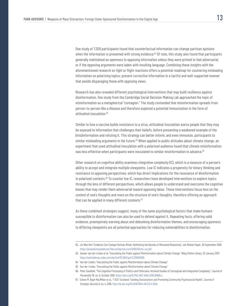One study of 7,200 participants found that counterfactual information can change partisan opinions when the information is presented with strong evidence.<sup>62</sup> Of note, this study also found that participants generally maintained an openness to opposing information unless they were primed to feel adversarial, or if the opposing arguments were laden with insulting language. Combining these insights with the aforementioned research on fight or flight reactions offers a potential roadmap for countering misleading information on polarizing topics: present corrective information in a tactful and well-supported manner that avoids disparaging those with opposing views.

Research has also revealed different psychological interventions that may build resilience against disinformation. One study from the Cambridge Social Decision-Making Lab approached the topic of misinformation as a metaphorical "contagion." The study contended that misinformation spreads from person-to-person like a disease and therefore explored a potential immunization in the form of *attitudinal inoculation*. 63

Similar to how a vaccine builds resistance to a virus, attitudinal inoculation warns people that they may be exposed to information that challenges their beliefs, before presenting a weakened example of the (mis)information and refuting it. This strategy can better inform, and even immunize, participants to similar misleading arguments in the future.<sup>64</sup> When applied to public attitudes about climate change, an experiment that used attitudinal inoculation with a polarized audience found that climate misinformation was less effective when participants were inoculated to similar misinformation in advance.<sup>65</sup>

Other research on cognitive ability examines *integrative complexity* (IC), which is a measure of a person's ability to accept and integrate multiple viewpoints. Low IC indicates a propensity for binary thinking and resistance to opposing perspectives, which has direct implications for the resonance of disinformation in polarized contexts.<sup>66</sup> To counter low IC, researchers have developed interventions to explore topics through the lens of different perspectives, which allows people to understand and overcome the cognitive biases that may render them adversarial toward opposing ideas. These interventions focus less on the *content* of one's thoughts and more on the *structure* of one's thoughts, therefore offering an approach that can be applied in many different contexts.<sup>67</sup>

As these combined strategies suggest, many of the same psychological factors that make humans susceptible to disinformation can also be used to defend against it. Repeating facts, offering solid evidence, preemptively warning about and debunking disinformation themes, and encouraging openness to differing viewpoints are all potential approaches for reducing vulnerabilities to disinformation.

<sup>62.</sup> Jin Woo Kim "Evidence Can Change Partisan Minds: Rethinking the Bounds of Motivated Reasoning," Job Market Paper, 30 September 2018, https://jinwookimqssdotcom.files.wordpress.com/2018/10/kim\_ws.pdf.

<sup>63.</sup> Sander van der Linden et al, "Inoculating the Public against Misinformation about Climate Change," Wiley Online Library, 23 January 2017, https://onlinelibrary.wiley.com/doi/full/10.1002/gch2.201600008.

<sup>64.</sup> Van der Linden, "Inoculating the Public against Misinformation about Climate Change."

<sup>65.</sup> Van der Linden, "Inoculating the Public against Misinformation about Climate Change."

<sup>66.</sup> Peter Suedfeld, "The Cognitive Processing of Politics and Politicians: Archival Studies of Conceptual and Integrative Complexity," *Journal of Personality* 78, no. 6, October 2010, https://doi.org/10.1111/j.1467-6494.2010.00666.x.

<sup>67.</sup> Eolene M. Boyd-MacMillan et al., "I SEE! Scotland: Tackling Sectarianism and Promoting Community Psychosocial Health," *Journal of Strategic Security 9*, no. 4, 2016, http://dx.doi.org/10.5038/1944-0472.9.4.1556.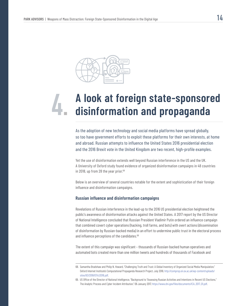

# **A look at foreign state-sponsored 4. disinformation and propaganda**

As the adoption of new technology and social media platforms have spread globally, so too have government efforts to exploit these platforms for their own interests, at home and abroad. Russian attempts to influence the United States 2016 presidential election and the 2016 Brexit vote in the United Kingdom are two recent, high-profile examples.

Yet the use of disinformation extends well beyond Russian interference in the US and the UK. A University of Oxford study found evidence of organized disinformation campaigns in 48 countries in 2018, up from 28 the year prior.<sup>68</sup>

Below is an overview of several countries notable for the extent and sophistication of their foreign influence and disinformation campaigns.

### **Russian influence and disinformation campaigns**

Revelations of Russian interference in the lead-up to the 2016 US presidential election heightened the public's awareness of disinformation attacks against the United States. A 2017 report by the US Director of National Intelligence concluded that Russian President Vladimir Putin ordered an influence campaign that combined covert cyber operations (hacking, troll farms, and bots) with overt actions (dissemination of disinformation by Russian-backed media) in an effort to undermine public trust in the electoral process and influence perceptions of the candidates.<sup>69</sup>

The extent of this campaign was significant – thousands of Russian-backed human operatives and automated bots created more than one million tweets and hundreds of thousands of Facebook and

<sup>68.</sup> Samantha Bradshaw and Philip N. Howard, "Challenging Truth and Trust: A Global Inventory of Organized Social Media Manipulation," Oxford Internet Institute's Computational Propaganda Research Project, July 2018, http://comprop.oii.ox.ac.uk/wp-content/uploads/ sites/93/2018/07/ct2018.pdf.

<sup>69.</sup> US Office of the Director of National Intelligence, "Background to "Assessing Russian Activities and Intentions in Recent US Elections," The Analytic Process and Cyber Incident Attribution," 06 January 2017, https://www.dni.gov/files/documents/ICA\_2017\_01.pdf.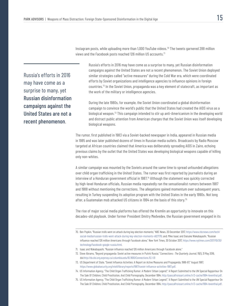Instagram posts, while uploading more than 1,000 YouTube videos.70 The tweets garnered 288 million views and the Facebook posts reached 126 million US accounts.<sup>71</sup>

Russia's efforts in 2016 may have come as a surprise to many, yet Russian disinformation campaigns against the United States are not a recent phenomenon.

Russia's efforts in 2016 may have come as a surprise to many, yet Russian disinformation campaigns against the United States are not a recent phenomenon. The Soviet Union deployed similar strategies called "active measures" during the Cold War era, which were coordinated efforts by Soviet organizations and intelligence agencies to influence opinions in foreign countries.72 In the Soviet Union, propaganda was a key element of statecraft, as important as the work of the military or intelligence agencies.

During the late 1980s, for example, the Soviet Union coordinated a global disinformation campaign to convince the world's public that the United States had created the AIDS virus as a biological weapon.<sup>73</sup> This campaign intended to stir up anti-Americanism in the developing world and distract public attention from American charges that the Soviet Union was itself developing biological weapons.

The rumor, first published in 1983 via a Soviet-backed newspaper in India, appeared in Russian media in 1985 and was later published dozens of times in Russian media outlets. Broadcasts by Radio Moscow targeted at African countries claimed that America was deliberately spreading AIDS in Zaire, echoing previous claims by the outlet that the United States was developing biological weapons capable of killing only non-whites.

A similar campaign was mounted by the Soviets around the same time to spread unfounded allegations over child organ trafficking in the United States. The rumor was first reported by journalists during an interview of a Honduran government official in 1987.<sup>74</sup> Although the statement was quickly corrected by high-level Honduran officials, Russian media repeatedly ran the sensationalist rumors between 1987 and 1988 without mentioning the corrections. The allegations gained momentum over subsequent years, resulting in Turkey suspending its adoption program with the United States in the early 1990s. Not long after, a Guatemalan mob attacked US citizens in 1994 on the basis of this story.<sup>75</sup>

The rise of major social media platforms has offered the Kremlin an opportunity to innovate on this decades-old playbook. Under former President Dmitry Medvedev, the Russian government engaged in its

<sup>70.</sup> Ben Popkin, "Russian trolls went on attack during key election moments," NBC News, 20 December 2017, https://www.nbcnews.com/tech/ social-media/russian-trolls-went-attack-during-key-election-moments-n827176; and: Mike Isaac and Daisuke Wakabayashi, "Russian influence reached 126 million Americans through Facebook alone," *New York Times*, 30 October 2017, https://www.nytimes.com/2017/10/30/ technology/facebook-google-russia.html.

<sup>71.</sup> Isaac and Wakabayashi, "Russian influence reached 126 million Americans through Facebook alone."

<sup>72.</sup> Steve Abrams, "Beyond propaganda: Soviet active measures in Putin's Russia." Connections : *The Quarterly Journal*, 15(1), 31 May 2016, doi:http://dx.doi.org.ezproxy.cul.columbia.edu/10.11610/Connections.15.1-01

<sup>73.</sup> US Department of State, "Soviet Influence Activities: A Report on Active Measures and Propaganda, 1986-87," August 1987, https://www.globalsecurity.org/intell/library/reports/1987/soviet-influence-activities-1987.pdf.

<sup>74.</sup> US Information Agency, "The Child Organ Trafficking Rumor: A Modern 'Urban Legend'," A Report Submitted to the UN Special Rapporteur On The Sale Of Children, Child Prostitution, And Child Pornography, December 1994, http://pascalfroissart.online.fr/3-cache/1994-leventhal.pdf.

<sup>75.</sup> US Information Agency, "The Child Organ Trafficking Rumor: A Modern 'Urban Legend'," A Report Submitted to the UN Special Rapporteur On The Sale Of Children, Child Prostitution, And Child Pornography, December 1994, http://pascalfroissart.online.fr/3-cache/1994-leventhal.pdf.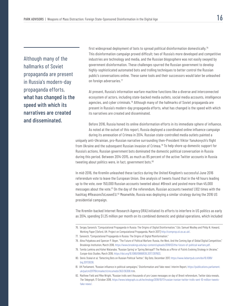Although many of the hallmarks of Soviet propaganda are present in Russia's modern-day propaganda efforts, what has changed is the speed with which its narratives are created and disseminated.

first widespread deployment of bots to spread political disinformation domestically.<sup>76</sup> This disinformation campaign proved difficult; two of Russia's more developed and competitive industries are technology and media, and the Russian blogosphere was not easily swayed by government disinformation. These challenges spurred the Russian government to develop highly-sophisticated automated bots and trolling techniques to better control the Russian public's conversations online. These same tools and their successors would later be unleashed on foreign adversaries.<sup>77</sup>

At present, Russia's information warfare machine functions like a diverse and interconnected ecosystem of actors, including state-backed media outlets, social media accounts, intelligence agencies, and cyber criminals.<sup>78</sup> Although many of the hallmarks of Soviet propaganda are present in Russia's modern-day propaganda efforts, what has changed is the speed with which its narratives are created and disseminated.

Before 2016, Russia honed its online disinformation efforts in its immediate sphere of influence. As noted at the outset of this report, Russia deployed a coordinated online influence campaign during its annexation of Crimea in 2014. Russian state-controlled media outlets painted a

uniquely anti-Ukrainian, pro-Russian narrative surrounding then-President Viktor Yanukovych's flight from Ukraine and the subsequent Russian invasion of Crimea.<sup>79</sup> To help shore up domestic support for Russia's actions, Russian government bots dominated the domestic political conversation in Russia during this period. Between 2014-2015, as much as 85 percent of the active Twitter accounts in Russia tweeting about politics were, in fact, government bots.<sup>80</sup>

In mid-2016, the Kremlin unleashed these tactics during the United Kingdom's successful June 2016 referendum vote to leave the European Union. One analysis of tweets found that in the 48 hours leading up to the vote, over 150,000 Russian accounts tweeted about #Brexit and posted more than 45,000 messages about the vote.<sup>81</sup> On the day of the referendum, Russian accounts tweeted 1,102 times with the hashtag #ReasonsToLeaveEU.<sup>82</sup> Meanwhile, Russia was deploying a similar strategy during the 2016 US presidential campaign.

The Kremlin-backed Internet Research Agency (IRA) initiated its efforts to interfere in US politics as early as 2014, spending \$1.25 million per month on its combined domestic and global operations, which included

76. Sergey Sanovich, "Computational Propaganda in Russia: The Origins of Digital Disinformation," Eds: Samuel Woolley and Philip N. Howard, Working Paper [Oxford, UK: Project on Computational Propaganda, March 2017] http://comprop.oii.ox.ac.uk/.

- 77. Sanovich, "Computational Propaganda in Russia: The Origins of Digital Misinformation."
- 78. Alina Polyakova and Spencer P. Boyer, "The Future of Political Warfare: Russia, the West, And the Coming Age of Global Digital Competition," Brookings Institution, March 2018, https://www.brookings.edu/wp-content/uploads/2018/03/the-future-of-political-warfare.pdf.
- 79. Tomila Lankina and Kohei Watanabe, "Russian Spring' or 'Spring Betrayal'? The Media as a Mirror of Putin's Evolving Strategy in Ukraine," *Europe-Asia Studies*, March 2018, https://doi.org/10.1080/09668136.2017.1397603.
- 80. Denis Stukal et al, "Detecting Bots on Russian Political Twitter," *Big Data*, December 2017, https://www.liebertpub.com/doi/10.1089/ big.2017.0038.
- 81. UK Parliament, "Russian influence in political campaigns," Disinformation and 'fake news': Interim Report, https://publications.parliament. uk/pa/cm201719/cmselect/cmcumeds/363/36308.htm.
- 82. Matthew Field and Mike Wright, "Russian trolls sent thousands of pro-Leave messages on day of Brexit referendum, Twitter data reveals, *The Telegraph*, 17 October 2018, https://www.telegraph.co.uk/technology/2018/10/17/russian-iranian-twitter-trolls-sent-10-million-tweetsfake-news/.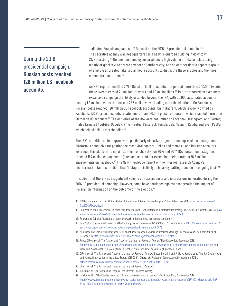During the 2016 presidential campaign, Russian posts reached 126 million US Facebook accounts.

dedicated English language staff focused on the 2016 US presidential campaign.<sup>83</sup> The secretive agency was headquartered in a heavily-guarded building in downtown St. Petersburg.<sup>84</sup> On one floor, employees produced a high volume of fake articles, using mostly original text to create a veneer of authenticity, and on another floor a separate group of employees created fake social media accounts to distribute these articles and then post comments about them.85

An NBC report identified 2,752 Russian "troll" accounts that posted more than 200,000 tweets; these tweets earned 2.1 million retweets and 1.9 million likes.<sup>86</sup> Twitter reported an even more expansive campaign that likely extended beyond the IRA, with 36,000 automated accounts posting 1.4 million tweets that earned 288 million views leading up to the election.87 On Facebook, Russian posts reached 126 million US Facebook accounts. On Instagram, which is wholly owned by Facebook, 170 Russian accounts created more than 120,000 pieces of content, which reached more than 20 million US accounts.<sup>88</sup> The activities of the IRA were not limited to Facebook, Instagram, and Twitter; it also targeted YouTube, Google+, Vine, Meetup, Pinterest, Tumblr, Gab, Medium, Reddit, and even PayPal, which helped sell its merchandise.<sup>89</sup>

The IRA's activities on Instagram were particularly effective at generating impressions. Instagram's platform is conducive for posting the most viral content – jokes and memes – and Russian accounts leveraged this platform to maximize their reach. Between 2014 and 2017, IRA content on Instagram reached 187 million engagements (likes and shares), far exceeding their content's 76.5 million engagements on Facebook.<sup>90</sup> The New Knowledge Report on the Internet Research Agency's disinformation tactics predicts that "Instagram is likely to be a key battleground on an ongoing basis."<sup>91</sup>

It is clear that there was a significant volume of Russian posts and impressions generated during the 2016 US presidential campaign. However, some have cautioned against exaggerating the impact of Russian disinformation on the outcome of the election.<sup>92</sup>

- 85. Popken and Cobiella, "Russian troll describes work in the infamous misinformation factory."
- 86. Ben Popken, "Russian trolls went on attack during key election moments" *NBC News*, 20 December 2017, https://www.nbcnews.com/tech/ social-media/russian-trolls-went-attack-during-key-election-moments-n827176.
- 87. Mike Isaac and Daisuke Wakabayashi, "Russian influence reached 126 million Americans through Facebook alone," *New York Times*, 30 October 2017, https://www.nytimes.com/2017/10/30/technology/facebook-google-russia.html.
- 88. Renee DiResta et al, "The Tactics and Tropes of the Internet Research Agency," New Knowledge, December 2018, https://disinformationreport.blob.core.windows.net/disinformation-report/NewKnowledge-Disinformation-Report-Whitepaper.pdf; and Isaac and Wakabayashi, "Russian influence reached 126 million Americans through Facebook alone."
- 89. DiResta et al, "The Tactics and Tropes of the Internet Research Agency," December 2018; and Philip N. Howard et al, "The IRA, Social Media and Political Polarization in the United States, 2012-2018" [Oxford, UK: Project on Computational Propaganda, 2018], https://comprop.oii.ox.ac.uk/wp-content/uploads/sites/93/2018/12/IRA-Report-2018.pdf.
- 90. DiResta et al, "The Tactics and Tropes of the Internet Research Agency."
- 91. DiResta et al, "The Tactics and Tropes of the Internet Research Agency."
- 92. Patrick Ruffini, "Why Russia's Facebook ad campaign wasn't such a success," *Washington Post*, 3 November 2017, https://www.washingtonpost.com/outlook/why-russias-facebook-ad-campaign-wasnt-such-a-success/2017/11/03/b8efacca-bffa-11e7- 8444-a0d4f04b89eb\_story.html?utm\_term=.78cb0da3de03.

<sup>83.</sup> US Department of Justice, "United States of America vs. Internet Research Agency," filed 16 February 2018, https://www.justice.gov/ file/1035477/download.

<sup>84.</sup> Ben Popken and Kelly Cobiella, "Russian troll describes work in the infamous misinformation factory," *NBC News*, 16 November 2017, https:// www.nbcnews.com/news/all/russian-troll-describes-work-infamous-misinformation-factory-n821486.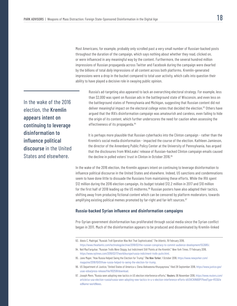Most Americans, for example, probably only scrolled past a very small number of Russian-backed posts throughout the duration of the campaign, which says nothing about whether they read, clicked on, or were influenced in any meaningful way by the content. Furthermore, the several hundred million impressions of Russian propaganda across Twitter and Facebook during the campaign were dwarfed by the billions of total *daily* impressions of all content across both platforms. Kremlin-generated impressions were a drop in the bucket compared to total user activity, which calls into question their ability to have played a decisive role in swaying public opinion.

In the wake of the 2016 election, the Kremlin appears intent on continuing to leverage disinformation to influence political discourse in the United States and elsewhere.

Russia's ad-targeting also appeared to lack an overarching electoral strategy. For example, less than \$2,000 was spent on Russian ads in the battleground state of Wisconsin, and even less on the battleground states of Pennsylvania and Michigan, suggesting that Russian content did not deliver meaningful impact on the electoral college votes that decided the election.<sup>93</sup> Others have argued that the IRA's disinformation campaign was amateurish and careless, even failing to hide the origin of its content, which further underscores the need for caution when assessing the effectiveness of its propaganda.<sup>94</sup>

It is perhaps more plausible that Russian cyberhacks into the Clinton campaign - rather than the Kremlin's social media disinformation - impacted the course of the election. Kathleen Jamieson, the director of the Annenberg Public Policy Center at the University of Pennsylvania, has argued that the disclosures from WikiLeaks' release of Russian-hacked Clinton campaign emails caused the decline in polled voters' trust in Clinton in October 2016.95

In the wake of the 2016 election, the Kremlin appears intent on continuing to leverage disinformation to influence political discourse in the United States and elsewhere. Indeed, US sanctions and condemnations seem to have done little to dissuade the Russians from maintaining these efforts. While the IRA spent \$12 million during the 2016 election campaign, its budget totaled \$12.2 million in 2017 and \$10 million for the first half of 2018 leading up the US midterms.<sup>96</sup> Russian posters have also adapted their tactics, shifting away from producing fictional content which can be censored by platform moderators, towards amplifying existing political memes promoted by far-right and far-left sources.<sup>97</sup>

### **Russia-backed Syrian influence and disinformation campaigns**

Pro-Syrian government disinformation has proliferated through social media since the Syrian conflict began in 2011. Much of the disinformation appears to be produced and disseminated by Kremlin-linked

<sup>93.</sup> Alexis C. Madrigal, "Russia's Troll Operation Was Not That Sophisticated," *The Atlantic*, 19 February 2018, https://www.theatlantic.com/technology/archive/2018/02/the-russian-conspiracy-to-commit-audience-development/553685/.

<sup>94.</sup> Neil MacFarquhar, "Russian Trolls Were Sloppy, but Indictment Still 'Points at the Kremlin'," *New York Times*, 17 February 2018, https://www.nytimes.com/2018/02/17/world/europe/russia-indictment-trolls-putin.html.

<sup>95.</sup> Jane Mayer, "How Russia Helped Swing the Election for Trump," *The New Yorker*, 1 October 2018, https://www.newyorker.com/ magazine/2018/10/01/how-russia-helped-to-swing-the-election-for-trump.

<sup>96.</sup> US Department of Justice, "United States of America v. Elena Alekseevna Khusyaynova," filed 28 September 2018, https://www.justice.gov/ usao-edva/press-release/file/1102591/download.

<sup>97.</sup> Joseph Menn, "Russia seen adopting new tactics in US election interference efforts," *Reuters*, 06 November 2018, https://www.reuters.com/ article/us-usa-election-russia/russia-seen-adopting-new-tactics-in-u-s-election-interference-efforts-idUSKCN1NB0PI?feedType=RSS&fe edName=worldNews.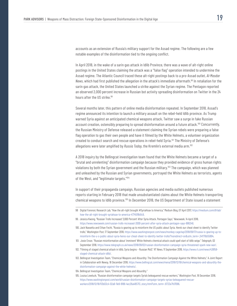accounts as an extension of Russia's military support for the Assad regime. The following are a few notable examples of the disinformation tied to the ongoing conflict.

In April 2018, in the wake of a sarin gas attack in Idlib Province, there was a wave of alt-right online postings in the United States claiming the attack was a "false flag" operation intended to undermine the Assad regime. The Atlantic Council traced these alt-right postings back to a pro-Assad outlet, *Al-Masdar News*, which had first published the allegation in the attack's immediate aftermath.98 In retaliation for the sarin gas attack, the United States launched a strike against the Syrian regime. The Pentagon reported an observed 2,000 percent increase in Russian bot activity spreading disinformation on Twitter in the 24 hours after the US strike.99

Several months later, this pattern of online media disinformation repeated. In September 2018, Assad's regime announced its intention to launch a military assault on the rebel-held Idlib province. As Trump warned Syria against an anticipated chemical weapons attack, Twitter saw a surge in fake Russian account creation, ostensibly preparing to spread disinformation around a future attack.<sup>100</sup> Concurrently, the Russian Ministry of Defense released a statement claiming the Syrian rebels were preparing a false flag operation to gas their own people and have it filmed by the White Helmets, a volunteer organization created to conduct search and rescue operations in rebel-held Syria.<sup>101</sup> The Ministry of Defense's allegations were later amplified by *Russia Today*, the Kremlin's external media arm.102

A 2018 inquiry by the Bellingcat investigation team found that the White Helmets became a target of a "brutal and unrelenting" disinformation campaign because they provided evidence of gross human rights violations by both the Syrian government and the Russian military.<sup>103</sup> The campaign, which was planned and unleashed by the Russian and Syrian governments, portrayed the White Helmets as terrorists, agents of the West, and "legitimate targets."104

In support of their propaganda campaign, Russian agencies and media outlets published numerous reports starting in February 2018 that made unsubstantiated claims about the White Helmets transporting chemical weapons to Idlib province.<sup>105</sup> In December 2018, the US Department of State issued a statement

- 101. Josie Ensor, "Russian misinformation about 'imminent' White Helmets chemical attack could spell start of Idlib seige," *Telegraph*, 02 September 2018, https://www.telegraph.co.uk/news/2018/09/02/russian-disinformation-campaign-syria-threatened-spark-new-war/.
- 102. "Filming of staged chemical attack in Idlib, Syria begins Russian MoD," *RT News*, 11 September 2018, https://www.rt.com/news/438158 staged-chemical-attack-idlib/.
- 103. Bellingcat Investigation Team, "Chemical Weapons and Absurdity: The Disinformation Campaign Against the White Helmets," A Joint Report in Collaboration with Newsy, 18 December 2018, https://www.bellingcat.com/news/mena/2018/12/18/chemical-weapons-and-absurdity-thedisinformation-campaign-against-the-white-helmets/.
- 104. Bellingcat Investigation Team, "Chemical Weapons and Absurdity."
- 105. Louisa Loveluck, "Russian disinformation campaign targets Syria's beleaguered rescue workers," *Washington Post*, 18 December 2018, https://www.washingtonpost.com/world/russian-disinformation-campaign-targets-syrias-beleaguered-rescueworkers/2018/12/18/113b03c4-02a9-11e9-8186-4ec26a485713\_story.html?utm\_term=.8733e7fd7096.

<sup>98</sup> Digital Forensic Research Lab, "How the alt-right brought #SyriaHoax to America," Medium Blog, 07 April 2017, https://medium.com/dfrlab/ how-the-alt-right-brought-syriahoax-to-america-47745118d1c9.

<sup>99.</sup> Jessica Kwong, "Russian Trolls Increased '2,000 Percent' After Syria Attack, Pentagon Says," *Newsweek*, 14 April 2018, https://www.newsweek.com/russian-trolls-increased-2000-percent-after-syria-attack-pentagon-says-886248.

<sup>100.</sup> Jack Nassetta and Ethan Fecht, "Russia is gearing up to misinform the US public about Syria. Here's our cheat sheet to identify Twitter trolls," *Washington Post*, 17 September 2018, https://www.washingtonpost.com/news/monkey-cage/wp/2018/09/17/russia-is-gearing-up-tomisinform-the-u-s-public-about-syria-heres-our-cheat-sheet-to-identify-twitter-trolls/?noredirect=on&utm\_term=.24ff76b55894.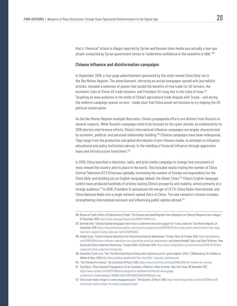that a "chemical" attack in Aleppo reported by Syrian and Russian state media was actually a tear-gas attack conducted by Syrian government forces to "undermine confidence in the ceasefire in Idlib."<sup>106</sup>

### **Chinese influence and disinformation campaigns**

In September 2018, a four-page advertisement sponsored by the state-owned *China Daily* ran in the *Des Moines Register*. The advertisement, mirroring an actual newspaper spread with journalistic articles, included a selection of pieces that touted the benefits of free trade for US farmers, the economic risks of China-US trade tensions, and President Xi's long ties to the state of Iowa.107 Targeting an Iowa audience in the midst of China's agricultural trade dispute with Trump – and during the midterm campaign season no less – made clear that China would not hesitate to try shaping the US political conversation.

As the *Des Moines Register* example illustrates, China's propaganda efforts are distinct from Russia's in several respects. While Russia's campaigns tend to be focused on the cyber domain, as evidenced by its 2016 election interference efforts, China's international influence campaigns are largely characterized by economic, political, and personal relationship-building.108 Chinese campaigns have been widespread. They range from the production and global distribution of pro-Chinese media, to attempts to influence educational and policy institutions abroad, to the wielding of financial influence through aggressive loans and infrastructure investment.<sup>109</sup>

In 2010, China launched a television, radio, and print media campaign to change how consumers of news viewed the country and its place in the world. This included nearly tripling the number of China Central Television (CCTV) bureaus globally, increasing the number of foreign correspondents for the *China Daily*, and building out an English-language tabloid, the *Global Times*. 110 China's English-language outlets have produced hundreds of articles touting China's prosperity and stability, aimed primarily at a foreign audience.<sup>111</sup> In 2018, President Xi announced the merger of CCTV, China Radio International, and China National Radio into a single network named Voice of China. The new network's mission includes strengthening international outreach and influencing public opinion abroad.<sup>112</sup>

- 110. "The Chinese Are Coming," *The Economist*, 04 March 2010, https://www.economist.com/asia/2010/03/04/the-chinese-are-coming.
- 111. Paul Mazur, "China Spreads Propaganda to US on Facebook, a Platform It Bans at Home," *New York Times*, 08 November 2017, https://www.nytimes.com/2017/11/08/technology/china-facebook.html?mtrref=www.google. com&mtrref=undefined&gwh=16B98CC8D9E3ABFA00633192121284B5&gwt=pay.
- 112. "China state media merger to create propaganda giant," *The Guardian*, 21 March 2018, https://www.theguardian.com/world/2018/mar/21/ china-state-media-merger-to-create-propaganda-giant

<sup>106.</sup> Bureau of Public Affairs, US Department of State, "The Russian and Assad Regime's False Allegations on Chemical Weapons Use in Aleppo," 07 December 2018, https://www.state.gov/r/pa/prs/ps/2018/12/287941.htm.

<sup>107.</sup> Donnelle Eller, "Chinese-backed newspaper insert tries to undermine Iowa farm support for Trump, trade war," *Des Moines Register*, 24 September 2018, https://www.desmoinesregister.com/story/money/agriculture/2018/09/24/china-daily-watch-advertisement-tries-swayiowa-farm-support-trump-trade-war-tariffs/1412954002/.

<sup>108.</sup> Abigail Grace, "China's Influence Operations Are Pinpointing America's Weaknesses," *Foreign Policy*, 04 October 2018, https://foreignpolicy. com/2018/10/04/chinas-influence-operations-are-pinpointing-americas-weaknesses/; and Andrea Kendall-Taylor and David Shullman, "How Russia and China Undermine Democracy," *Foreign Affairs*, 02 October 2018, https://www.foreignaffairs.com/articles/china/2018-10-02/howrussia-and-china-undermine-democracy.

<sup>109.</sup> Samantha Custer et al, "Ties That Bind: Quantifying China's public diplomacy and its "good neighbor" effect," [Williamsburg, VA: AidData at William & Mary, 2018] http://docs.aiddata.org/ad4/pdfs/Ties\_that\_Bind-Executive\_Summary.pdf.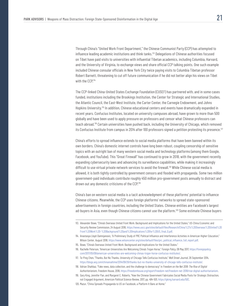Through China's "United Work Front Department," the Chinese Communist Party (CCP) has attempted to influence leading academic institutions and think tanks.<sup>113</sup> Delegations of Chinese authorities focused on Tibet have paid visits to universities with influential Tibetan academics, including Columbia, Harvard, and the University of Virginia, to exchange views and share official CCP talking points. One such example included Chinese consular officials in New York City twice paying visits to Columbia Tibetan professor Robert Barnett, threatening to cut off future communication if he did not better align his views on Tibet with the CCP.<sup>114</sup>

The CCP-linked China-United States Exchange Foundation (CUSEF) has partnered with, and in some cases funded, institutions including the Brookings Institution, the Center for Strategic and International Studies, the Atlantic Council, the East-West Institute, the Carter Center, the Carnegie Endowment, and Johns Hopkins University.115 In addition, Chinese educational centers and events have dramatically expanded in recent years. Confucius Institutes, located on university campuses abroad, have grown to more than 500 globally and have been used to apply pressure on professors and censor what Chinese professors can teach abroad.116 Certain universities have pushed back, including the University of Chicago, which removed its Confucius Institute from campus in 2014 after 100 professors signed a petition protesting its presence.<sup>117</sup>

China's efforts to spread influence extends to social media platforms that have been banned within its own borders. China's domestic internet controls have long been robust, coupling censorship of sensitive topics with an outright ban of many western social media and technology platforms (among them Google, Facebook, and YouTube). This "Great Firewall" has continued to grow in 2018, with the government recently expanding cybersecurity laws and advancing its surveillance capabilities, while making it increasingly difficult to use virtual private network services to avoid the firewall.<sup>118</sup> While Chinese social media is allowed, it is both tightly controlled by government censors and flooded with propaganda. Some two million government-paid individuals contribute roughly 450 million pro-government posts annually to distract and drown out any domestic criticisms of the CCP.<sup>119</sup>

China's ban on western social media is a tacit acknowledgment of these platforms' potential to influence Chinese citizens. Meanwhile, the CCP uses foreign platforms' networks to spread state-sponsored advertisements in foreign countries, including the United States. Chinese entities are Facebook's largest ad-buyers in Asia, even though Chinese citizens cannot use the platform.120 Some estimate Chinese buyers

<sup>113.</sup> Alexander Bowe, "China's Overseas United Front Work: Background and Implications for the United States," US-China Economic and Security Review Commission, 24 August 2018, https://www.uscc.gov/sites/default/files/Research/China%27s%20Overseas%20United%20 Front%20Work%20-%20Background%20and%20Implications%20for%20US\_final\_0.pdf.

<sup>114.</sup> Anastasya Lloyd-Damnjanovic, "A Preliminary Study of PRC Political Influence and Interference Activities in American Higher Education," Wilson Center, August 2018, https://www.wilsoncenter.org/sites/default/files/prc\_political\_influence\_full\_report.pdf.

<sup>115.</sup> Bowe, "China's Overseas United Front Work: Background and Implications for the United States."

<sup>116.</sup> Rachelle Peterson, "American Universities Are Welcoming China's Trojan Horse," *Foreign Policy*, 09 May 2017, https://foreignpolicy. com/2017/05/09/american-universities-are-welcoming-chinas-trojan-horse-confucius-institutes/.

<sup>117.</sup> Te-Ping Chen, "Thanks, But No Thanks, University of Chicago Tells Confucius Institute," *Wall Street Journal*, 26 September 2014, https://blogs.wsj.com/chinarealtime/2014/09/26/thanks-but-no-thanks-university-of-chicago-tells-confucius-institute/.

<sup>118.</sup> Adrian Shahbaz, "Fake news, data collection, and the challenge to democracy" in *Freedom on the Net 2018: The Rise of Digital Authoritarianism*, Freedom House, 2018, https://freedomhouse.org/report/freedom-net/freedom-net-2018/rise-digital-authoritarianism.

<sup>119.</sup> Gary King, Jennifer Pan, and Margaret E. Roberts, "How the Chinese Government Fabricates Social Media Posts for Strategic Distraction, not Engaged Argument, *American Political Science Review*, 2017, pp. 484-501, https://gking.harvard.edu/50C.

<sup>120.</sup> Mazur, "China Spreads Propaganda to US on Facebook, a Platform It Bans at Home."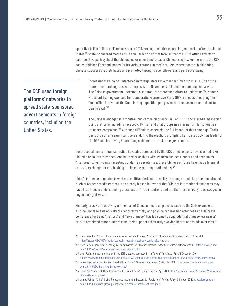spent five billion dollars on Facebook ads in 2018, making them the second largest market after the United States.<sup>121</sup> State-sponsored media ads, a small fraction of that total, mirror the CCP's offline efforts to paint positive portrayals of the Chinese government and broader Chinese society. Furthermore, the CCP has established Facebook pages for its various state-run media outlets, where content highlighting Chinese successes is distributed and promoted through page followers and paid advertising.

Beijing's will.<sup>122</sup> The CCP uses foreign platforms' networks to spread state-sponsored advertisements in foreign countries, including the

United States.

Increasingly, China has interfered in foreign states in a manner similar to Russia. One of the more recent and aggressive examples is the November 2018 election campaign in Taiwan. The Chinese government undertook a substantial propaganda effort to undermine Taiwanese President Tsai Ing-wen and her Democratic Progressive Party (DPP) in hopes of ousting them from office in favor of the Kuomintang opposition party, who are seen as more compliant to

The Chinese engaged in a months-long campaign of anti-Tsai, anti-DPP social media messaging using platforms including Facebook, Twitter, and chat groups in a manner similar to Russia's influence campaigns.<sup>123</sup> Although difficult to ascertain the full impact of this campaign, Tsai's party did suffer a significant defeat during the election, prompting her to step down as leader of the DPP and improving Kuomintang's chances to retake the government.

Covert social media influence tactics have also been used by the CCP. Chinese spies have created fake LinkedIn accounts to connect and build relationships with western business leaders and academics. After organizing in-person meetings under false pretenses, these Chinese officials have made financial offers in exchange for establishing intelligence-sharing relationships.<sup>124</sup>

China's influence campaign is vast and multifaceted, but its ability to change minds has been questioned. Much of Chinese media content is so clearly biased in favor of the CCP that international audiences may have little trouble understanding these outlets' true intentions and are therefore unlikely to be swayed in any meaningful way.125

Similarly, a lack of objectivity on the part of Chinese media employees, such as the 2018 example of a China Global Television Network reporter verbally and physically harassing attendees at a UK press conference for being "traitors" and "fake Chinese," has led some to conclude that Chinese journalists' efforts are aimed more at impressing their superiors than truly swaying hearts and minds overseas.<sup>126</sup>

<sup>121.</sup> Preeti Varathan, "China, where Facebook is banned, could make \$5 billion for the company this year," Quartz, 16 May 2018, https://qz.com/1279700/china-is-facebooks-second-largest-ad-spender-after-the-us/.

<sup>122.</sup> Chris Horton, "Specter of Meddling by Beijing Looms Over Taiwan's Elections," *New York Times*, 22 November 2018, https://www.nytimes. com/2018/11/22/world/asia/taiwan-elections-meddling.html.

<sup>123.</sup> Josh Rogin, "China's interference in the 2018 elections succeeded — in Taiwan," *Washington Post*, 18 December 2018, https://www.washingtonpost.com/opinions/2018/12/18/chinas-interference-elections-succeeded-taiwan/?utm\_term=.f0bf442eab64.

<sup>124.</sup> Jonas Parello-Plesner, "China's LinkedIn Honey Traps," *The American Interest*, 23 October 2018, https://www.the-american-interest. com/2018/10/23/chinas-linkedin-honey-traps/.

<sup>125.</sup> Hilton Yip, "China's \$6 Billion Propaganda Blitz is a Snooze," *Foreign Policy*, 23 April 2018, https://foreignpolicy.com/2018/04/23/the-voice-ofchina-will-be-a-squeak/.

<sup>126.</sup> James Palmer, "China's Global Propaganda Is Aimed at Bosses, Not Foreigners," *Foreign Policy*, 01 October 2018, https://foreignpolicy. com/2018/10/01/chinas-global-propaganda-is-aimed-at-bosses-not-foreigners/.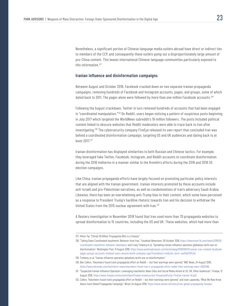Nonetheless, a significant portion of Chinese-language media outlets abroad have direct or indirect ties to members of the CCP, and consequently these outlets pump out a disproportionately large amount of pro-China content. This leaves international Chinese-language communities particularly exposed to this information.127

### **Iranian influence and disinformation campaigns**

Between August and October 2018, Facebook cracked down on two separate Iranian propaganda campaigns, removing hundreds of Facebook and Instagram accounts, pages, and groups, some of which dated back to 2011. The pages alone were followed by more than one million Facebook accounts.<sup>128</sup>

Following the August crackdown, Twitter in turn removed hundreds of accounts that had been engaged in "coordinated manipulation."129 On Reddit, users began noticing a pattern of suspicious posts beginning in July 2017 which targeted the *WorldNews* subreddit's 19 million followers. The posts included political content linked to obscure websites that Reddit moderators were able to trace back to Iran after investigating.130 The cybersecurity company FireEye released its own report that concluded Iran was behind a coordinated disinformation campaign, targeting US and UK audiences and dating back to at least 2017.131

Iranian disinformation has displayed similarities to both Russian and Chinese tactics. For example, they leveraged fake Twitter, Facebook, Instagram, and Reddit accounts to coordinate disinformation during the 2018 midterms in a manner similar to the Kremlin's efforts during the 2016 and 2018 US election campaigns.

Like China, Iranian propaganda efforts have largely focused on promoting particular policy interests that are aligned with the Iranian government. Iranian interests promoted by these accounts include anti-Israeli and pro-Palestinian narratives, as well as condemnations of Iran's adversary Saudi Arabia. Likewise, there has been an overwhelming anti-Trump bias to their content, which some have perceived as a response to President Trump's hardline rhetoric towards Iran and his decision to withdraw the United States from the 2015 nuclear agreement with Iran.<sup>132</sup>

A Reuters investigation in November 2018 found that Iran used more than 70 propaganda websites to spread disinformation to 15 countries, including the US and UK. These websites, which had more than

<sup>127.</sup> Hilton Yip, "China's \$6 Billion Propaganda Blitz is a Snooze."

<sup>128. &</sup>quot;Taking Down Coordinated Inauthentic Behavior from Iran," *Facebook Newsroom*, 26 October 2018, https://newsroom.fb.com/news/2018/10/ coordinated-inauthentic-behavior-takedown/; and Craig Timberg et al, "Sprawling Iranian influence operation globalizes tech's war on disinformation," *Washington Post*, 21 August 2018, https://www.washingtonpost.com/technology/2018/08/21/russian-iran-created-facebookpages-groups-accounts-mislead-users-around-world-company-says/?noredirect=on&utm\_term=.aa3fbb707c54.

<sup>129.</sup> Timberg, et al, "Iranian influence operation globalizes tech's war on disinformation."

<sup>130.</sup> Ben Collins, "Volunteers found Iran's propaganda effort on Reddit — but their warnings were ignored," NBC News, 24 August 2018, https://www.nbcnews.com/tech/tech-news/volunteers-found-iran-s-propaganda-effort-reddit-their-warnings-were-n903486.

<sup>131</sup> "Suspected Iranian Influence Operation: Leveraging Inauthentic News Sites and Social Media Aimed at US, UK, Other Audiences," Fireeye, 21 August 2018, https://www.fireeye.com/content/dam/fireeye-www/current-threats/pdfs/rpt-FireEye-Iranian-IO.pdf.

<sup>132.</sup> Collins, "Volunteers found Iran's propaganda effort on Reddit — but their warnings were ignored;" and Issie Lapowsky, "What We Now Know About Iran's Global Propaganda Campaign," *Wired*, 24 August 2018, https://www.wired.com/story/iran-global-propaganda-fireeye/.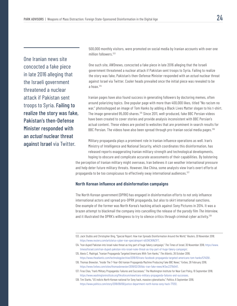One Iranian news site concocted a fake piece in late 2016 alleging that the Israeli government threatened a nuclear attack if Pakistan sent troops to Syria. Failing to realize the story was fake, Pakistan's then-Defense Minister responded with an *actual* nuclear threat against Israel via Twitter.

500,000 monthly visitors, were promoted on social media by Iranian accounts with over one million followers.<sup>133</sup>

One such site, AWDnews, concocted a fake piece in late 2016 alleging that the Israeli government threatened a nuclear attack if Pakistan sent troops to Syria. Failing to realize the story was fake, Pakistan's then-Defense Minister responded with an *actual* nuclear threat against Israel via Twitter. Cooler heads prevailed once the initial piece was revealed to be a hoax.134

Iranian pages have also found success in generating followers by doctoring memes, often around polarizing topics. One popular page with more than 400,000 likes, titled "No racism no war," photoshopped an image of Tom Hanks by adding a Black Lives Matter slogan to his t-shirt. The image generated 95,000 shares.135 Since 2011, well-produced, fake BBC Persian videos have been created to cover stories and provide analysis inconsistent with BBC Persian's actual content. These videos are posted to websites that are prominent in search results for BBC Persian. The videos have also been spread through pro-Iranian social media pages.<sup>136</sup>

Military propaganda plays a prominent role in Iranian influence operations as well. Iran's Ministry of Intelligence and National Security, which coordinates this disinformation, has released reports exaggerating Iranian military strength and technological developments,

hoping to obscure and complicate accurate assessments of their capabilities. By bolstering the perception of Iranian military might overseas, Iran believes it can weather international pressure and help deter future military threats. However, like China, some analysts view Iran's overt efforts at propaganda to be too conspicuous to effectively sway international audiences.<sup>137</sup>

### **North Korean influence and disinformation campaigns**

The North Korean government (DPRK) has engaged in disinformation efforts to not only influence international actors and spread pro-DPRK propaganda, but also to skirt international sanctions. One example of the former was North Korea's hacking attack against Sony Pictures in 2014. It was a brazen attempt to blackmail the company into cancelling the release of the parody film *The Interview*, and it illustrated the DPRK's willingness to try to silence critics through criminal cyber activity.<sup>138</sup>

<sup>133.</sup> Jack Stubbs and Christopher Bing, "Special Report: How Iran Spreads Disinformation Around the World," *Reuters, 30 November 2018*, https://www.reuters.com/article/us-cyber-iran-specialreport-idUSKCN1NZ1FT.

<sup>134. &</sup>quot;Iran duped Pakistan into Israel nuke threat as tiny part of huge fakery campaign," *The Times of Israel*, 30 November 2018, https://www. timesofisrael.com/iran-duped-pakistan-into-israel-nuke-threat-as-tiny-part-of-huge-fakery-campaign/.

<sup>135.</sup> Alexis C. Madrigal, "Iranian Propaganda Targeted Americans With Tom Hanks," *The Atlantic*, 26 October 2018, https://www.theatlantic.com/technology/archive/2018/10/irans-facebook-propaganda-targeted-americans-tom-hanks/574129/.

<sup>136.</sup> Thomas Brewster, "Inside The 7-Year-Old Iranian Propaganda Machine Producing Fake BBC News," *Forbes*, 28 February 2018, https://www.forbes.com/sites/thomasbrewster/2018/02/28/bbc-iran-fake-news/#3ec2371b54f1.

<sup>137.</sup> Firas Elias, "Iran's Military Propaganda: Failures and Successes," The Washington Institute for Near East Policy, 10 September 2018, https://www.washingtoninstitute.org/fikraforum/view/irans-military-propaganda-failures-and-successes.

<sup>138.</sup> Tim Starks, "US indicts North Korean national for Sony hack, massive cyberattacks," *Politico*, 6 September 2018, https://www.politico.com/story/2018/09/06/justice-department-north-korea-sony-hack-771212.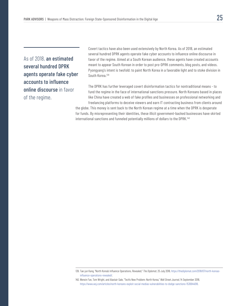As of 2018, an estimated several hundred DPRK agents operate fake cyber accounts to influence online discourse in favor of the regime.

Covert tactics have also been used extensively by North Korea. As of 2018, an estimated several hundred DPRK agents operate fake cyber accounts to influence online discourse in favor of the regime. Aimed at a South Korean audience, these agents have created accounts meant to appear South Korean in order to post pro-DPRK comments, blog posts, and videos. Pyongyang's intent is twofold: to paint North Korea in a favorable light and to stoke division in South Korea.139

The DPRK has further leveraged covert disinformation tactics for nontraditional means - to fund the regime in the face of international sanctions pressure. North Koreans based in places like China have created a web of fake profiles and businesses on professional networking and freelancing platforms to deceive viewers and earn IT contracting business from clients around

the globe. This money is sent back to the North Korean regime at a time when the DPRK is desperate for funds. By misrepresenting their identities, these illicit government-backed businesses have skirted international sanctions and funneled potentially millions of dollars to the DPRK.<sup>140</sup>

<sup>139.</sup> Tae-jun Kang, "North Korea's Influence Operations, Revealed," *The Diplomat*, 25 July 2018, https://thediplomat.com/2018/07/north-koreasinfluence-operations-revealed/.

<sup>140.</sup> Wenxin Fan, Tom Wright, and Alastair Gale, "Tech's New Problem: North Korea," *Wall Street Journal*, 14 September 2018, https://www.wsj.com/articles/north-koreans-exploit-social-medias-vulnerabilities-to-dodge-sanctions-1536944018.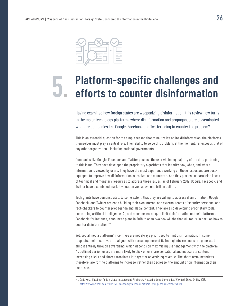

# **Platform-specific challenges and 5. efforts to counter disinformation**

Having examined how foreign states are weaponizing disinformation, this review now turns to the major technology platforms where disinformation and propaganda are disseminated. What are companies like Google, Facebook and Twitter doing to counter the problem?

This is an essential question for the simple reason that to neutralize online disinformation, the platforms themselves must play a central role. Their ability to solve this problem, at the moment, far exceeds that of any other organization – including national governments.

Companies like Google, Facebook and Twitter possess the overwhelming majority of the data pertaining to this issue. They have developed the proprietary algorithms that identify how, when, and where information is viewed by users. They have the most experience working on these issues and are bestequipped to improve how disinformation is tracked and countered. And they possess unparalleled levels of technical and monetary resources to address these issues; as of February 2019, Google, Facebook, and Twitter have a combined market valuation well above one trillion dollars.

Tech giants have demonstrated, to some extent, that they are willing to address disinformation. Google, Facebook, and Twitter are each building their own internal and external teams of security personnel and fact-checkers to counter propaganda and illegal content. They are also developing proprietary tools, some using artificial intelligence (AI) and machine learning, to limit disinformation on their platforms. Facebook, for instance, announced plans in 2018 to open two new AI labs that will focus, in part, on how to counter disinformation.141

Yet, social media platforms' incentives are not always prioritized to limit disinformation. In some respects, their incentives are aligned with spreading more of it. Tech giants' revenues are generated almost entirely through advertising, which depends on maximizing user engagement with the platform. As outlined earlier, users are more likely to click on or share sensational and inaccurate content; increasing clicks and shares translates into greater advertising revenue. The short-term incentives, therefore, are for the platforms to increase, rather than decrease, the amount of disinformation their users see.

<sup>141.</sup> Cade Metz, "Facebook Adds A.I. Labs in Seattle and Pittsburgh, Pressuring Local Universities," *New York Times*, 04 May 2018, https://www.nytimes.com/2018/05/04/technology/facebook-artificial-intelligence-researchers.html.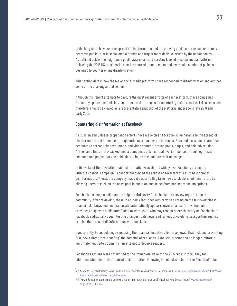In the long term, however, the spread of disinformation and the growing public outcries against it may decrease public trust in social media brands and trigger more decisive action by these companies. As outlined below, the heightened public awareness and scrutiny leveled at social media platforms following the 2016 US presidential election spurred them to enact and overhaul a number of policies designed to counter online disinformation.

This section details how the major social media platforms have responded to disinformation and outlines some of the challenges that remain.

Although this report attempts to capture the most recent efforts of each platform, these companies frequently update user policies, algorithms, and strategies for countering disinformation. This assessment, therefore, should be viewed as a representative snapshot of the platform landscape in late 2018 and early 2019.

### **Countering disinformation at Facebook**

As Russian and Chinese propaganda efforts have made clear, Facebook is vulnerable to the spread of disinformation and influence through both covert and overt strategies. Bots and trolls can create fake accounts to spread fake text, image, and video content through posts, pages, and paid advertising. At the same time, state-backed media companies often spread overt influence through legitimate accounts and pages that use paid advertising to disseminate their messages.

In the wake of the revelation that disinformation was shared widely over Facebook during the 2016 presidential campaign, Facebook announced the rollout of several features to help combat disinformation.<sup>142</sup> First, the company made it easier to flag false news to platform administrators by allowing users to click on the news post in question and select from pre-set reporting options.

Facebook also began enlisting the help of third-party fact-checkers to review reports from the community. After reviewing, these third-party fact-checkers provide a rating on the trustworthiness of an article. News deemed inaccurate automatically appears lower on a user's newsfeed and previously displayed a "disputed" label to warn users who may read or share the story on Facebook.143 Facebook additionally began testing changes to its newsfeed rankings, weighing its algorithm against articles that present disinformation warning signs.

Concurrently, Facebook began reducing the financial incentives for false news. That included preventing fake news sites from "spoofing" the domains of real ones. A malicious actor can no longer imitate a legitimate news site's domain in an attempt to deceive readers.

Facebook's actions were not limited to the immediate wake of the 2016 race. In 2018, they took additional steps to further restrict disinformation. Following Facebook's debut of the "disputed" label

<sup>142.</sup> Adam Mosseri, "Addressing Hoaxes and Fake News," *Facebook Newsroom*, 15 December 2016, https://newsroom.fb.com/news/2016/12/newsfeed-fyi-addressing-hoaxes-and-fake-news/.

<sup>143. &</sup>quot;How is Facebook addressing false news through third-party fact-checkers?" Facebook Help Center, https://www.facebook.com/ help/1952307158131536.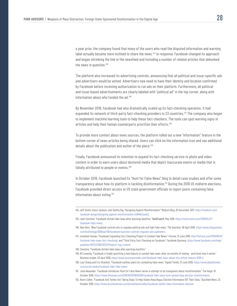a year prior, the company found that many of the users who read the disputed information and warning label actually became *more* inclined to share the news.144 In response, Facebook changed its approach and began shrinking the link in the newsfeed and including a number of related articles that debunked the news in question.<sup>145</sup>

The platform also increased its advertising controls, announcing that all political and issue-specific ads and advertisers would be vetted. Advertisers now need to have their identity and location confirmed by Facebook before receiving authorization to run ads on their platform. Furthermore, all political and issue-based advertisements are clearly labeled with "political ad" in the top corner, along with information about who funded the ad.<sup>146</sup>

By November 2018, Facebook had also dramatically scaled up its fact-checking operation. It had expanded its network of third-party fact-checking providers to 23 countries.<sup>147</sup> The company also began to implement machine learning tools to help these fact-checkers. The tools can spot warning signs in articles and help their human counterparts prioritize their efforts.148

To provide more context about news sources, the platform rolled out a new "information" feature in the bottom corner of news articles being shared. Users can click on the information icon and see additional details about the publication and author of the piece.<sup>149</sup>

Finally, Facebook announced its intention to expand its fact-checking service to photo and video content in order to warn users about doctored media that depict inaccurate events or media that is falsely attributed to people or events.<sup>150</sup>

In October 2018, Facebook launched its "Hunt for False News" blog to detail case studies and offer some transparency about how its platform is tackling disinformation.151 During the 2018 US midterm elections, Facebook provided direct access to US state government officials to report posts containing false information about voting.<sup>152</sup>

147. Jonathan Vanian, "Facebook Expanding Fact-Checking Project to Combat Fake News," *Fortune*, 21 June 2018, http://fortune.com/2018/06/21/ facebook-fake-news-fact-checking/; and "Third-Party Fact-Checking on Facebook," Facebook Business, https://www.facebook.com/help/ publisher/182222309230722?helpref=faq\_content.

- 149. Kif Leswing, "Facebook is finally launching a new feature to combat fake news, after six months of testing and here's how it works," *Business Insider*, 03 April 2016, https://www.businessinsider.com/facebook-fake-news-about-this-article-feature-2018-4.
- 150. Lulu Chang and Eric Brackett, "Facebook outlines plans for combating false news," *Digital Trends*, 21 June 2018, https://www.digitaltrends. com/social-media/facebook-fight-fake-news/.
- 151. Julia Alexander, "Facebook introduces 'Hunt for False News' series in attempt to be transparent about misinformation," *The Verge*, 19 October 2018, https://www.theverge.com/2018/10/19/18001288/facebook-fake-news-hunt-spread-blog-election-misinformation.
- 152. Kevin Collier, "Facebook And Twitter Are Taking Steps To Help States Keep Bogus Election Information Off Their Sites," *Buzzfeed News*, 23 October 2018, https://www.buzzfeednews.com/article/kevincollier/facebook-twitter-false-information-election.

<sup>144.</sup> Jeff Smith, Grace Jackson, and Seetha Raj, "Designing Against Misinformation," Medium Blog, 20 December 2017, https://medium.com/ facebook-design/designing-against-misinformation-e5846b3aa1e2.

<sup>145.</sup> Josh Constine, "Facebook shrinks fake news after warnings backfire," *TechCrunch*, May 2018, https://techcrunch.com/2018/04/27/ facebook-false-news/.

<sup>146.</sup> Alex Hern, "New Facebook controls aim to regulate political ads and fight fake news," *The Guardian*, 06 April 2018, https://www.theguardian. com/technology/2018/apr/06/facebook-launches-controls-regulate-ads-publishers.

<sup>148.</sup> Constine, "Facebook shrinks fake news after warnings backfire."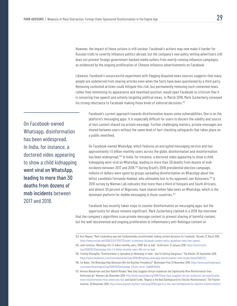However, the impact of these actions is still unclear. Facebook's actions may now make it harder for Russian trolls to covertly influence politics abroad, but the company's new policy vetting advertisers still does not prevent foreign government-backed media outlets from *overtly* running influence campaigns, as evidenced by the ongoing proliferation of Chinese influence advertisements on Facebook.

Likewise, Facebook's unsuccessful experiment with flagging disputed news sources suggests that many people are undeterred from sharing articles even when the facts have been questioned by a third party. Removing contested articles could mitigate this risk, but permanently removing such contested news, rather than minimizing its appearance and newsfeed position, would open Facebook to criticism that it is censoring free speech and unfairly targeting political views. In March 2018, Mark Zuckerberg conveyed his strong reluctance to Facebook making those kinds of editorial decisions.<sup>153</sup>

On Facebook-owned Whatsapp, disinformation has been widespread. In India, for instance, a doctored video appearing to show a child kidnapping went viral on WhatsApp, leading to more than 30 deaths from dozens of mob incidents between 2017 and 2018.

Facebook's current approach towards disinformation leaves some vulnerabilities. One is on the platform's messaging apps. It is especially difficult for users to discern the validity and source of text content shared via private message. Further challenging matters, private messages are shared between users without the same level of fact-checking safeguards that takes place on a public newsfeed.

On Facebook-owned WhatsApp, which features an encrypted messaging service and has approximately 1.5 billion monthly users across the globe, disinformation and misinformation has been widespread.<sup>154</sup> In India, for instance, a doctored video appearing to show a child kidnapping went viral on WhatsApp, leading to more than 30 deaths from dozens of mob incidents between 2017 and 2018.155 During Brazil's 2018 presidential election campaign, millions of dollars were spent by groups spreading disinformation on WhatsApp about the leftist candidate Fernando Haddad, who ultimately lost to his opponent Jair Bolsonaro.<sup>156</sup> A 2018 survey by Nieman Lab indicates that more than a third of Kenyans and South Africans, and almost 30 percent of Nigerians, have shared online fake news on WhatsApp, which is the dominant platform for mobile messaging in those countries.<sup>157</sup>

Facebook has recently taken steps to counter disinformation on messaging apps, but the opportunity for abuse remains significant. Mark Zuckerberg claimed in a 2018 *Vox* interview that the company's algorithms scan private message content to prevent sharing of harmful content, but the well-documented and ongoing proliferation of inflammatory anti-Rohingya content on

<sup>153.</sup> Kurt Wagner, "Mark Zuckerberg says he's 'fundamentally uncomfortable' making content decisions for Facebook," *Recode*, 22 March 2018, https://www.recode.net/2018/3/22/17150772/mark-zuckerberg-facebook-content-policy-guidelines-hate-free-speech.

<sup>154.</sup> Josh Constine, "WhatsApp hits 1.5 billion monthly users. \$19B? Not so bad," *TechCrunch*, 31 January 2018, https://techcrunch. com/2018/01/31/whatsapp-hits-1-5-billion-monthly-users-19b-not-so-bad/.

<sup>155.</sup> Timothy Mclaughlin, "Disinformation is Spreading on WhatsApp in India - And It's Getting Dangerous," *The Atlantic*, 05 September 2018, https://www.theatlantic.com/international/archive/2018/09/fighting-whatsapp-disinformation-india-kerala-floods/569332/.

<sup>156.</sup> Tai Nalon, "Did WhatsApp Help Bolsonaro Win the Brazilian Presidency?" *Washington Post*, 01 November 2018, https://www.washingtonpost. com/news/theworldpost/wp/2018/11/01/whatsapp-2/?utm\_term=.7a9e914f926d.

<sup>157.</sup> Herman Wasserman and Dani Madrid-Morales "New Data Suggests African Audiences See Significantly More Misinformation than Americans do," Nieman Lab, November 2018, http://www.niemanlab.org/2018/11/new-data-suggests-african-audiences-see-significantlymore-misinformation-than-americans-do/; and Daniel Funke, "Nigeria is the Next Battleground for Election Misinformation," The Poynter Institute, 30 November 2018, https://www.poynter.org/fact-checking/2018/nigeria-is-the-next-battleground-for-election-misinformation/.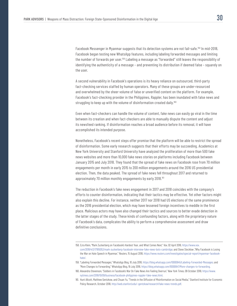Facebook Messenger in Myanmar suggests that its detection systems are not fail-safe.<sup>158</sup> In mid-2018, Facebook began testing new WhatsApp features, including labeling forwarded messages and limiting the number of forwards per user.159 Labeling a message as "forwarded" still leaves the responsibility of identifying the authenticity of a message – and preventing its distribution if deemed false – squarely on the user.

A second vulnerability in Facebook's operations is its heavy reliance on outsourced, third-party fact-checking services staffed by human operators. Many of these groups are under-resourced and overwhelmed by the sheer volume of false or unverified content on the platform. For example, Facebook's fact-checking provider in the Philippines, Rappler, has been inundated with false news and struggling to keep up with the volume of disinformation created daily.<sup>160</sup>

Even when fact-checkers can handle the volume of content, fake news can easily go viral in the time between its creation and when fact-checkers are able to manually dispute the content and adjust its newsfeed ranking. If disinformation reaches a broad audience before its removal, it will have accomplished its intended purpose.

Nonetheless, Facebook's recent steps offer promise that the platform will be able to restrict the spread of disinformation. Some early research suggests that their efforts may be succeeding. Academics at New York University and Stanford University have analyzed the proliferation of more than 500 fake news websites and more than 10,000 fake news stories on platforms including Facebook between January 2015 and July 2018. They found that the spread of fake news on Facebook rose from 70 million engagements per month in early 2015 to 200 million engagements around the 2016 US presidential election. Then, the data peaked. The spread of fake news fell throughout 2017 and returned to approximately 70 million monthly engagements by early 2018.<sup>161</sup>

The reduction in Facebook's fake news engagement in 2017 and 2018 coincides with the company's efforts to counter disinformation, indicating that their tactics may be effective. Yet other factors might also explain this decline. For instance, neither 2017 nor 2018 had US elections of the same prominence as the 2016 presidential election, which may have lessened foreign incentives to meddle in the first place. Malicious actors may have also changed their tactics and sources to better evade detection in the latter stages of the study. These kinds of confounding factors, along with the proprietary nature of Facebook's data, complicates the ability to perform a comprehensive assessment and draw definitive conclusions.

<sup>158.</sup> Ezra Klein, "Mark Zuckerberg on Facebook's Hardest Year, and What Comes Next," *Vox*, 02 April 2018, https://www.vox. com/2018/4/2/17185052/mark-zuckerberg-facebook-interview-fake-news-bots-cambridge; and Steve Stecklow ,"Why Facebook is Losing the War on Hate Speech in Myanmar," *Reuters*, 15 August 2018, https://www.reuters.com/investigates/special-report/myanmar-facebookhate/.

<sup>159. &</sup>quot;Labeling Forwarded Messages," WhatsApp Blog, 10 July 2018, https://blog.whatsapp.com/10000645/Labeling-Forwarded-Messages; and "More Changes to Forwarding," WhatsApp Blog, 19 July 2018, https://blog.whatsapp.com/10000647/More-changes-to-forwarding.

<sup>160.</sup> Alexandra Stevenson, "Soldiers in Facebook's War On Fake News Are Feeling Overrun," *New York Times*, 09 October 2018, https://www. nytimes.com/2018/10/09/business/facebook-philippines-rappler-fake-news.html.

<sup>161.</sup> Hunt Allcott, Matthew Gentzkow, and Chuan Yu, "Trends in the Diffusion of Misinformation on Social Media," Stanford Institute for Economic Policy Research, October 2018, http://web.stanford.edu/~gentzkow/research/fake-news-trends.pdf.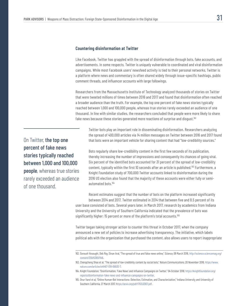Like Facebook, Twitter has grappled with the spread of disinformation through bots, fake accounts, and advertisements. In some respects, Twitter is uniquely vulnerable to coordinated and viral disinformation campaigns. While most Facebook users' newsfeed activity is tied to their personal networks, Twitter is a platform where news and commentary is often shared widely through issue-specific hashtags, public comment threads, and influencer accounts with large followings.

Researchers from the Massachusetts Institute of Technology analyzed thousands of stories on Twitter that were tweeted millions of times between 2016 and 2017 and found that disinformation often reached a broader audience than the truth. For example, the top one percent of fake news stories typically reached between 1,000 and 100,000 people, whereas true stories rarely exceeded an audience of one thousand. In line with similar studies, the researchers concluded that people were more likely to share fake news because these stories generated more reactions of surprise and disgust.<sup>162</sup>

Twitter bots play an important role in disseminating disinformation. Researchers analyzing the spread of 400,000 articles via 14 million messages on Twitter between 2016 and 2017 found that bots were an important vehicle for sharing content that had "low-credibility sources."

Bots regularly share low-credibility content in the first few seconds of its publication, thereby increasing the number of impressions and consequently its chances of going viral. Six percent of the identified bots accounted for 31 percent of the spread of low-credibility content, typically within the first 10 seconds after an article is published.<sup>163</sup> Furthermore, a Knight Foundation study of 700,000 Twitter accounts linked to disinformation during the 2016 US election also found that the majority of these accounts were either fully or semiautomated bots.164

Recent estimates suggest that the number of bots on the platform increased significantly between 2014 and 2017. Twitter estimated in 2014 that between five and 8.5 percent of its user base consisted of bots. Several years later, in March 2017, research by academics from Indiana University and the University of Southern California indicated that the prevalence of bots was significantly higher: 15 percent or more of the platform's total accounts.<sup>165</sup>

Twitter began taking stronger action to counter this threat in October 2017, when the company announced a new set of policies to increase advertising transparency. The initiative, which labels political ads with the organization that purchased the content, also allows users to report inappropriate

On Twitter, the top one percent of fake news stories typically reached between 1,000 and 100,000 people, whereas true stories rarely exceeded an audience of one thousand.

<sup>162.</sup> Soroush Vosoughi, Deb Roy, Sinan Aral, "The spread of true and false news online," *Science*, 09 March 2018, http://science.sciencemag.org/ content/359/6380/1146.

<sup>163.</sup> Chengcheng Shao et al, "The spread of low-credibility content by social bots," *Nature Communications*, 20 November 2018, https://www. nature.com/articles/s41467-018-06930-7.

<sup>164.</sup> Knight Foundation, "Disinformation, 'Fake News' and Influence Campaigns on Twitter," 04 October 2018, https://knightfoundation.org/ reports/disinformation-fake-news-and-influence-campaigns-on-twitter.

<sup>165.</sup> Onur Varol et al, "Online Human-Bot Interactions: Detection, Estimation, and Characterization," Indiana University and University of Southern California, 27 March 2017, https://arxiv.org/pdf/1703.03107.pdf.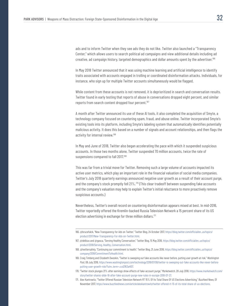ads and to inform Twitter when they see ads they do not like. Twitter also launched a "Transparency Center," which allows users to search political ad campaigns and view additional details including ad creative, ad campaign history, targeted demographics and dollar amounts spent by the advertiser.<sup>166</sup>

In May 2018 Twitter announced that it was using machine learning and artificial intelligence to identify traits associated with accounts engaged in trolling or coordinated disinformation attacks. Individuals, for instance, who sign up for multiple Twitter accounts simultaneously would be flagged.

While content from these accounts is not removed, it is deprioritized in search and conversation results. Twitter found in early testing that reports of abuse in conversations dropped eight percent, and similar reports from search content dropped four percent.<sup>167</sup>

A month after Twitter announced its use of these AI tools, it also completed the acquisition of Smyte, a technology company focused on countering spam, fraud, and abuse online. Twitter incorporated Smyte's existing tools into its platform, including Smyte's labeling system that automatically identifies potentially malicious activity. It does this based on a number of signals and account relationships, and then flags the activity for internal review.168

In May and June of 2018, Twitter also began accelerating the pace with which it suspended suspicious accounts. In those two months alone, Twitter suspended 70 million accounts, twice the rate of suspensions compared to fall 2017.<sup>169</sup>

This was far from a trivial move for Twitter. Removing such a large volume of accounts impacted its active user metrics, which play an important role in the financial valuation of social media companies. Twitter's July 2018 quarterly earnings announced negative user growth as a result of their account purge, and the company's stock promptly fell 21%.<sup>170</sup> (This clear tradeoff between suspending fake accounts and the company's valuation may help to explain Twitter's initial reluctance to more proactively remove suspicious accounts.)

Nevertheless, Twitter's overall record on countering disinformation appears mixed at best. In mid-2016, Twitter reportedly offered the Kremlin-backed Russia Television Network a 15 percent share of its US election advertising in exchange for three million dollars.<sup>171</sup>

<sup>166. @</sup>brucefalck, "New Transparency for Ads on Twitter," Twitter Blog, 24 October 2017, https://blog.twitter.com/official/en\_us/topics/ product/2017/New-Transparency-For-Ads-on-Twitter.html.

<sup>167. @</sup>delbius and @gasca, "Serving Healthy Conversation," Twitter Blog, 15 May 2018, https://blog.twitter.com/official/en\_us/topics/ product/2018/Serving\_Healthy\_Conversation.html.

<sup>168. @</sup>twittersafety, "Continuing our commitment to health," Twitter Blog, 21 June 2018, https://blog.twitter.com/official/en\_us/topics/ company/2018/CommitmentToHealth.html.

<sup>169.</sup> Craig Timberg and Elizabeth Dwoskin, "Twitter is sweeping out fake accounts like never before, putting user growth at risk," *Washington Post*, 06 July 2018, https://www.washingtonpost.com/technology/2018/07/06/twitter-is-sweeping-out-fake-accounts-like-never-beforeputting-user-growth-risk/?utm\_term=.ccd2163a4107.

<sup>170. &</sup>quot;Twitter stock plunges 21% after earnings show effects of fake-account purge," *Marketwatch*, 28 July 2018, https://www.marketwatch.com/ story/twitter-shares-slide-16-after-fake-account-purge-new-rules-in-europe-2018-07-27.

<sup>171.</sup> Alex Kantrowitz, "Twitter Offered Russian Television Network RT 15% Of Its Total Share Of US Elections Advertising," *Buzzfeed News*, 01 November 2017, https://www.buzzfeednews.com/article/alexkantrowitz/twitter-offered-rt-15-of-its-total-share-of-us-elections.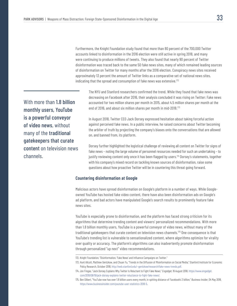Furthermore, the Knight Foundation study found that more than 80 percent of the 700,000 Twitter accounts linked to disinformation in the 2016 election were still active in spring 2018, and many were continuing to produce millions of tweets. They also found that nearly 90 percent of Twitter disinformation was traced back to the same 50 fake news sites, many of which remained leading sources of disinformation on Twitter for many months after the 2016 election. Conspiracy news sites received approximately 13 percent the amount of Twitter links as a comparative set of national news sites, indicating that the spread and consumption of fake news was extensive.<sup>172</sup>

With more than 1.8 billion monthly users, YouTube is a powerful conveyor of video news, without many of the traditional gatekeepers that curate content on television news channels.

The NYU and Stanford researchers confirmed the trend. While they found that fake news was decreasing on Facebook after 2016, their analysis concluded it was rising on Twitter: Fake news accounted for two million shares per month in 2015, about 4.5 million shares per month at the end of 2016, and about six million shares per month in mid-2018.173

In August 2018, Twitter CEO Jack Dorsey expressed hesitation about taking forceful action against perceived fake news. In a public interview, he raised concerns about Twitter becoming the arbiter of truth by projecting the company's biases onto the conversations that are allowed on, and banned from, its platform.

Dorsey further highlighted the logistical challenge of reviewing all content on Twitter for signs of fake news – noting the large volume of personnel resources needed for such an undertaking – to justify reviewing content only once it has been flagged by users.<sup>174</sup> Dorsey's statements, together with his company's mixed record on tackling known sources of disinformation, raise some questions about how proactive Twitter will be in countering this threat going forward.

### **Countering disinformation at Google**

Malicious actors have spread disinformation on Google's platform in a number of ways. While Googleowned YouTube has hosted fake video content, there have also been disinformation ads on Google's ad platform, and bad actors have manipulated Google's search results to prominently feature fake news sites.

YouTube is especially prone to disinformation, and the platform has faced strong criticism for its algorithms that determine trending content and viewers' personalized recommendations. With more than 1.8 billion monthly users, YouTube is a powerful conveyor of video news, without many of the traditional gatekeepers that curate content on television news channels.175 One consequence is that YouTube's trending list is vulnerable to sensationalized content, where algorithms optimize for virality over quality or accuracy. The platform's algorithms can also inadvertently promote disinformation through personalized "up next" video recommendations.

<sup>172.</sup> Knight Foundation, "Disinformation, 'Fake News' and Influence Campaigns on Twitter."

<sup>173.</sup> Hunt Allcott, Matthew Gentzkow, and Chuan Yu, "Trends in the Diffusion of Misinformation on Social Media," Stanford Institute for Economic Policy Research, October 2018, http://web.stanford.edu/~gentzkow/research/fake-news-trends.pdf.

<sup>174.</sup> Jon Fingas, "Jack Dorsey Explains Why Twitter Is Reluctant to Fight Fake News," *Engadget*, 19 August 2018, https://www.engadget. com/2018/08/19/jack-dorsey-explains-twitter-reluctance-to-fight-fake-news/.

<sup>175.</sup> Ben Gilbert, "YouTube now has over 1.8 billion users every month, in spitting distance of Facebook's 2 billion," *Business Insider*, 04 May 2018, https://www.businessinsider.com/youtube-user-statistics-2018-5.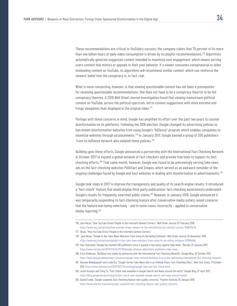These recommendations are critical to YouTube's success; the company claims that 70 percent of its more than one billion hours of daily video consumption is driven by its playlist recommendations.<sup>176</sup> Algorithms automatically generate suggested content intended to maximize user engagement, which means serving users content that mimics or appeals to their past behavior. If a viewer consumes conspiratorial or other misleading content on YouTube, its algorithms will recommend similar content, which can reinforce the viewers' belief that the conspiracy is, in fact, real.

What is more concerning, however, is that viewing questionable content has not been a prerequisite for receiving questionable recommendations. One does not have to be a conspiracy theorist to be fed conspiracy theories. A 2018 *Wall Street Journal* investigation found that viewing mainstream political content on YouTube, across the political spectrum, led to content suggestions with more extreme and fringe viewpoints than displayed in the original video. $177$ 

Perhaps with these concerns in mind, Google has amplified its effort over the past two years to counter disinformation on its platforms. Following the 2016 election, Google changed its advertising policies to ban known disinformation websites from using Google's "AdSense" program which enables companies to monetize websites through ad placements.<sup>178</sup> In January 2017, Google banned a group of 200 publishers from its AdSense network who violated these policies.<sup>179</sup>

Building upon these efforts, Google announced a partnership with the International Fact Checking Network in October 2017 to expand a global network of fact-checkers and provide free tools to support its factchecking efforts.180 That same month, however, Google was found to be unknowingly serving fake news ads on the fact-checking websites Politifact and Snopes, which served as an awkward reminder of the ongoing challenges faced by Google and host websites in dealing with disinformation in advertisements.<sup>181</sup>

Google took steps in 2017 to improve the transparency and quality of its search engine results. It introduced a "fact-check" feature that would display third-party publications' fact-checking assessments underneath Google's results for frequently-searched public claims.182 However, in January 2018, Google announced it was temporarily suspending its fact-checking feature after conservative media outlets raised concerns that the feature was being selectively – and in some cases, incorrectly – applied to conservative media reporting.183

<sup>176.</sup> Jack Nicas, "How YouTube Drives People to the Internet's Darkest Corners," *Wall Street Journal*, 07 February 2018, https://www.wsj.com/articles/how-youtube-drives-viewers-to-the-internetInternets-darkest-corners-1518020478.

<sup>177.</sup> Nicas, "How YouTube Drives People to the Internet's Darkest Corners."

<sup>178.</sup> Jack Nicas, "Google to Bar Fake-News Websites From Using Its Ad-Selling Software," *Wall Street Journal*, 04 November 2016, https://www.wsj.com/articles/google-to-bar-fake-news-websites-from-using-its-ad-selling-software-1479164646.

<sup>179.</sup> Tess Townsend, "Google has banned 200 publishers since it passed a new policy against fake news," *Recode*, 25 January 2017, https://www.recode.net/2017/1/25/14375750/google-adsense-advertisers-publishers-fake-news.

<sup>180.</sup> Erica Anderson, "Building trust online by partnering with the International Fact Checking Network," Google Blog, 26 October 2017, https://www.blog.google/outreach-initiatives/google-news-initiative/building-trust-online-partnering-international-fact-checking-network/.

<sup>181.</sup> Daisuke Wakabayashi and Linda Qiu, "Google Serves Fake News Ads in an Unlikely Place: Fact-Checking Sites,", *New York Times*, 17 October 2017, https://www.nytimes.com/2017/10/17/technology/google-fake-ads-fact-check.html.

<sup>182.</sup> Justin Kosslyn and Cong Yu, "Fact Check now available in Google Search and News around the world," Google Blog, 07 April 2017, https://blog.google/products/search/fact-check-now-available-google-search-and-news-around-world/.

<sup>183.</sup> Daniel Funke, "Google suspends fact-checking feature over quality concerns," Poynter Institute, 19 January 2018, https://www.poynter.org/news/google-suspends-fact-checking-feature-over-quality-concerns.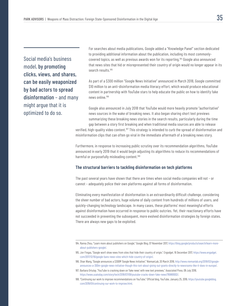Social media's business model, by promoting clicks, views, and shares, can be easily weaponized by bad actors to spread disinformation – and many might argue that it is optimized to do so.

For searches about media publications, Google added a "Knowledge Panel" section dedicated to providing additional information about the publication, including its most commonlycovered topics, as well as previous awards won for its reporting.<sup>184</sup> Google also announced that news sites that hid or misrepresented their country of origin would no longer appear in its search results.<sup>185</sup>

As part of a \$300 million "Google News Initiative" announced in March 2018, Google committed \$10 million to an anti-disinformation media literacy effort, which would produce educational content in partnership with YouTube stars to help educate the public on how to identify fake news online.186

Google also announced in July 2018 that YouTube would more heavily promote "authoritative" news sources in the wake of breaking news. It also began sharing short text previews summarizing these breaking news stories in the search results, particularly during the time gap between a story first breaking and when traditional media sources are able to release

verified, high-quality video content.<sup>187</sup> This strategy is intended to curb the spread of disinformation and misinformation clips that can often go viral in the immediate aftermath of a breaking news story.

Furthermore, in response to increasing public scrutiny over its recommendation algorithms, YouTube announced in early 2019 that it would begin adjusting its algorithms to reduce its recommendations of harmful or purposefully misleading content.<sup>188</sup>

### **The structural barriers to tackling disinformation on tech platforms**

The past several years have shown that there are times when social media companies will not – or cannot – adequately police their own platforms against all forms of disinformation.

Eliminating every manifestation of disinformation is an extraordinarily difficult challenge, considering the sheer number of bad actors, huge volume of daily content from hundreds of millions of users, and quickly-changing technology landscape. In many cases, these platforms' most meaningful efforts against disinformation have occurred in response to public outcries. Yet, their reactionary efforts have not succeeded in preventing the subsequent, more evolved disinformation strategies by foreign states. There are always new gaps to be exploited.

<sup>184.</sup> Ranna Zhou, "Learn more about publishers on Google," Google Blog, 07 November 2017, https://blog.google/products/search/learn-moreabout-publishers-google/.

<sup>185.</sup> Jon Fingas, "Google won't show news from sites that hide their country of origin," *Engadget*, 16 December 2017, https://www.engadget. com/2017/12/16/google-bans-news-sites-which-hide-country-of-origin/.

<sup>186.</sup> Shan Wang, "Google announces a \$300M 'Google News Initiative'," NiemanLab, 20 March 2018, http://www.niemanlab.org/2018/03/googleannounces-a-300m-google-news-initiative-though-this-isnt-about-giving-out-grants-directly-to-newsrooms-like-it-does-in-europe/.

<sup>187.</sup> Barbara Ortutay ,"YouTube is cracking down on 'fake news' with new text previews," *Associated Press*, 09 July 2018, https://www.usatoday.com/story/tech/2018/07/09/youtube-cracks-down-fake-news/769861002/.

<sup>188. &</sup>quot;Continuing our work to improve recommendations on YouTube," Official blog, YouTube, January 25, 2019, https://youtube.googleblog. com/2019/01/continuing-our-work-to-improve.html.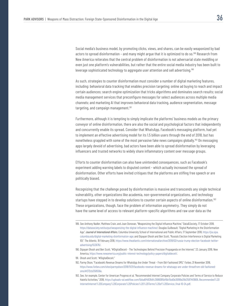Social media's business model, by promoting clicks, views, and shares, can be easily weaponized by bad actors to spread disinformation – and many might argue that it is optimized to do so.<sup>189</sup> Research from New America reiterates that the central problem of disinformation is not adversarial state meddling or even just one platform's vulnerabilities, but rather that the entire social media industry has been built to leverage sophisticated technology to aggregate user attention and sell advertising.<sup>190</sup>

As such, strategies to counter disinformation must consider a number of digital marketing features, including: behavioral data tracking that enables precision targeting; online ad buying to reach and impact certain audiences; search engine optimization that tricks algorithms and dominates search results; social media management services that preconfigure messages for select audiences across multiple media channels; and marketing AI that improves behavioral data tracking, audience segmentation, message targeting, and campaign management.<sup>191</sup>

Furthermore, although it is tempting to simply implicate the platforms' business models as the primary conveyor of online disinformation, there are also the social and psychological factors that independently and concurrently enable its spread. Consider that WhatsApp, Facebook's messaging platform, had yet to implement an effective advertising model for its 1.5 billion users through the end of 2018, but has nonetheless grappled with some of the most pervasive fake news campaigns globally.192 On messaging apps largely devoid of advertising, bad actors have been able to spread disinformation by leveraging influencers and trusted networks to widely share inflammatory content over message groups.

Efforts to counter disinformation can also have unintended consequences, such as Facebook's experiment adding warning labels to disputed content - which actually increased the spread of disinformation. Other efforts have invited critiques that the platforms are stifling free speech or are politically biased.

Recognizing that the challenge posed by disinformation is massive and transcends any single technical vulnerability, other organizations like academia, non-governmental organizations, and technology startups have stepped in to develop solutions to counter certain aspects of online disinformation.<sup>193</sup> These organizations, though, face the problem of information asymmetry. They simply do not have the same level of access to relevant platform-specific algorithms and raw user data as the

- 191. Ghosh and Scott, "#DigitalDeceit."
- 192. Parmy Olson, "Facebook's Revenue Dreams for WhatsApp Are Under Threat From Old-Fashioned SMS," *Forbes*, 21 November 2018, https://www.forbes.com/sites/parmyolson/2018/11/21/facebooks-revenue-dreams-for-whatsapp-are-under-threatfrom-old-fashionedsms/#372cb358556e.
- 193. See, for example, Center for American Progress et al, "Recommended Internet Company Corporate Policies and Terms of Service to Reduce Hateful Activities," 2018, https://uploads-ssl.webflow.com/5bba6f4828dfc3686095bf6b/5bd0e36186e28d35874f0909\_Recommended%20 InternetInternet%20Company%20Corporate%20Policies%20%20Terms%20of%20Service\_final-10-24.pdf.

<sup>189.</sup> See Anthony Nadler, Matthew Crain, and Joan Donovan, "Weaponizing the Digital Influence Machine," Data&Society, 17 October 2018, https://datasociety.net/output/weaponizing-the-digital-influence-machine/; Douglas Guilbeault, "Digital Marketing in the Disinformation Age," *Journal of International Affairs*, Columbia University School of International and Public Affairs, 17 September 2018, https://jia.sipa. columbia.edu/digital-marketing-disinformation-age; and Dipayan Ghosh and Ben Scott, "Russia's Election Interference is Digital Marketing 101," *The Atlantic*, 19 February 2018, https://www.theatlantic.com/international/archive/2018/02/russia-trump-election-facebook-twitteradvertising/553676/.

<sup>190.</sup> Dipayan Ghosh and Ben Scott, "#DigitalDeceit - The Technologies Behind Precision Propaganda on the Internet," 23 January 2018, New America, https://www.newamerica.org/public-interest-technology/policy-papers/digitaldeceit/.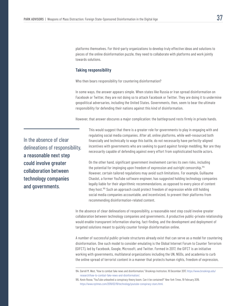platforms themselves. For third-party organizations to develop truly effective ideas and solutions to pieces of the online disinformation puzzle, they need to collaborate with platforms and work jointly towards solutions.

### **Taking responsibility**

Who then bears responsibility for countering disinformation?

In some ways, the answer appears simple. When states like Russia or Iran spread disinformation on Facebook or Twitter, they are not doing so to attack Facebook or Twitter. They are doing it to undermine geopolitical adversaries, including the United States. Governments, then, seem to bear the ultimate responsibility for defending their nations against this kind of disinformation.

However, that answer obscures a major complication: the battleground rests firmly in private hands.

In the absence of clear delineations of responsibility, a reasonable next step could involve greater collaboration between technology companies and governments.

This would suggest that there is a greater role for governments to play in engaging with and regulating social media companies. After all, online platforms, while well-resourced both financially and technically to wage this battle, do not necessarily have perfectly-aligned incentives with governments who are seeking to guard against foreign meddling. Nor are they necessarily capable of defending against every effort from sophisticated hostile actors.

On the other hand, significant government involvement carries its own risks, including the potential for impinging upon freedom of expression and outright censorship.194 However, certain tailored regulations may avoid such limitations. For example, Guillaume Chaslot, a former YouTube software engineer, has suggested holding technology companies legally liable for their algorithmic recommendations, as opposed to every piece of content they host.195 Such an approach could protect freedom of expression while still holding social media companies accountable, and incentivized, to prevent their platforms from recommending disinformation-related content.

In the absence of clear delineations of responsibility, a reasonable next step could involve greater collaboration between technology companies and governments. A productive public-private relationship would enable transparent information sharing, fact-finding, and the development and deployment of targeted solutions meant to quickly counter foreign disinformation online.

A number of successful public-private structures already exist that can serve as a model for countering disinformation. One such model to consider emulating is the Global Internet Forum to Counter Terrorism (GIFCT), led by Facebook, Google, Microsoft, and Twitter. Formed in 2017, the GIFCT is an initiative working with governments, multilateral organizations including the UN, NGOs, and academia to curb the online spread of terrorist content in a manner that protects human rights, freedom of expression,

<sup>194.</sup> Darrell M. West, "How to combat fake news and disinformation," Brookings Institution, 18 December 2017, https://www.brookings.edu/ research/how-to-combat-fake-news-and-disinformation/.

<sup>195.</sup> Kevin Roose, "YouTube unleashed a conspiracy theory boom. Can it be contained?" *New York Times*, 19 February 2019, https://www.nytimes.com/2019/02/19/technology/youtube-conspiracy-stars.html.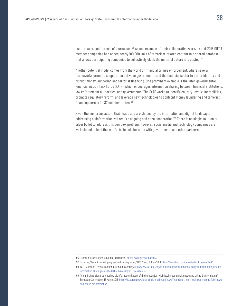user privacy, and the role of journalism.<sup>196</sup> As one example of their collaborative work, by mid-2018 GIFCT member companies had added nearly 100,000 links of terrorism-related content to a shared database that allows participating companies to collectively block the material before it is posted.<sup>197</sup>

Another potential model comes from the world of financial crimes enforcement, where several frameworks promote cooperation between governments and the financial sector to better identify and disrupt money laundering and terrorist financing. One prominent example is the inter-governmental Financial Action Task Force (FATF), which encourages information sharing between financial institutions, law enforcement authorities, and governments. The FATF works to identify country-level vulnerabilities, promote regulatory reform, and leverage new technologies to confront money laundering and terrorist financing across its 37 member states.<sup>198</sup>

Given the numerous actors that shape and are shaped by the information and digital landscape, addressing disinformation will require ongoing and open cooperation.<sup>199</sup> There is no single solution or silver bullet to address this complex problem. However, social media and technology companies are well-placed to lead these efforts, in collaboration with governments and other partners.

<sup>196. &</sup>quot;Global Internet Forum to Counter Terrorism," https://www.gifct.org/about/.

<sup>197.</sup> Dave Lee, "Tech firms hail 'progress' on blocking terror," BBC News, 8 June 2018, https://www.bbc.com/news/technology-44408463.

<sup>198.</sup> FATF Guidance – Private Sector Information Sharing, http://www.fatf-gafi.org/fr/publications/recommandationsgafi/documents/guidanceinformation-sharing.html?hf=10&b=0&s=desc(fatf\_releasedate)

<sup>199. &</sup>quot;A multi-dimensional approach to disinformation: Report of the independent High level Group on fake news and online disinformation," European Commission, 12 March 2018, https://ec.europa.eu/digital-single-market/en/news/final-report-high-level-expert-group-fake-newsand-online-disinformation.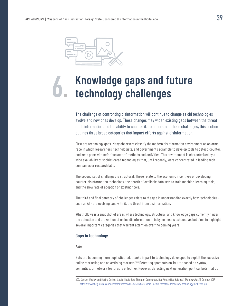

## **Knowledge gaps and future 6. technology challenges**

The challenge of confronting disinformation will continue to change as old technologies evolve and new ones develop. These changes may widen existing gaps between the threat of disinformation and the ability to counter it. To understand these challenges, this section outlines three broad categories that impact efforts against disinformation.

First are technology gaps. Many observers classify the modern disinformation environment as an arms race in which researchers, technologists, and governments scramble to develop tools to detect, counter, and keep pace with nefarious actors' methods and activities. This environment is characterized by a wide availability of sophisticated technologies that, until recently, were concentrated in leading tech companies or research labs.

The second set of challenges is structural. These relate to the economic incentives of developing counter-disinformation technology, the dearth of available data sets to train machine-learning tools, and the slow rate of adoption of existing tools.

The third and final category of challenges relate to the gap in understanding exactly how technologies – such as AI – are evolving, and with it, the threat from disinformation.

What follows is a snapshot of areas where technology, structural, and knowledge gaps currently hinder the detection and prevention of online disinformation. It is by no means exhaustive, but aims to highlight several important categories that warrant attention over the coming years.

### **Gaps in technology**

#### *Bots*

Bots are becoming more sophisticated, thanks in part to technology developed to exploit the lucrative online marketing and advertising markets.<sup>200</sup> Detecting spambots on Twitter based on syntax, semantics, or network features is effective. However, detecting next generation political bots that do

<sup>200.</sup> Samuel Woolley and Marina Gorbis, "Social Media Bots Threaten Democracy. But We Are Not Helpless," *The Guardian*, 16 October 2017, https://www.theguardian.com/commentisfree/2017/oct/16/bots-social-media-threaten-democracy-technology?CMP=twt\_gu.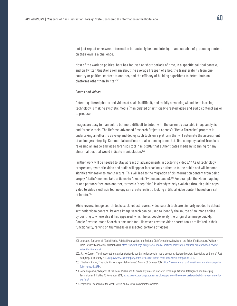not just repeat or retweet information but actually become intelligent and capable of producing content on their own is a challenge.

Most of the work on political bots has focused on short periods of time, in a specific political context, and on Twitter. Questions remain about the average lifespan of a bot, the transferability from one country or political context to another, and the efficacy of building algorithms to detect bots on platforms other than Twitter.201

#### *Photos and videos*

Detecting altered photos and videos at scale is difficult, and rapidly advancing AI and deep learning technology is making synthetic media (manipulated or artificially-created video and audio content) easier to produce.

Images are easy to manipulate but more difficult to detect with the currently available image analysis and forensic tools. The Defense Advanced Research Projects Agency's "Media Forensics" program is undertaking an effort to develop and deploy such tools on a platform that will automate the assessment of an image's integrity. Commercial solutions are also coming to market. One company called Truepic is releasing an image and video forensics tool in mid-2019 that authenticates media by scanning for any abnormalities that would indicate manipulation.<sup>202</sup>

Further work will be needed to stay abreast of advancements in doctoring videos.<sup>203</sup> As AI technology progresses, synthetic video and audio will appear increasingly authentic to the public and will become significantly easier to manufacture. This will lead to the migration of disinformation content from being largely "static" (memes, fake articles) to "dynamic" (video and audio).<sup>204</sup> For example, the video mapping of one person's face onto another, termed a "deep fake," is already widely available through public apps. Video to video synthesis technology can create realistic looking artificial video content based on a set of inputs.205

While reverse image search tools exist, robust reverse video search tools are similarly needed to detect synthetic video content. Reverse image search can be used to identify the source of an image online by pointing to where else it has appeared, which helps people verify the origin of an image quickly. Google Reverse Image Search is one such tool. However, reverse video search tools are limited in their functionality, relying on thumbnails or dissected portions of videos.

<sup>201.</sup> Joshua A. Tucker et al, "Social Media, Political Polarization, and Political Disinformation: A Review of the Scientific Literature," William + Flora Hewlett Foundation, 19 March 2018, https://hewlett.org/library/social-media-political-polarization-political-disinformation-reviewscientific-literature/.

<sup>202.</sup> J.J. McCorvey, "This image-authentication startup is combating faux social media accounts, doctored photos, deep fakes, and more," *Fast Company*, 19 February 2019, https://www.fastcompany.com/90299000/truepic-most-innovative-companies-2019.

<sup>203.</sup> Elizabeth Gibney, "The scientist who spots fake videos," *Nature*, 06 October 2017, https://www.nature.com/news/the-scientist-who-spotsfake-videos-1.22784.

<sup>204.</sup> Alina Polyakova, "Weapons of the weak: Russia and AI-driven asymmetric warfare," Brookings' Artificial Intelligence and Emerging Technologies Initiative, 15 November 2018, https://www.brookings.edu/research/weapons-of-the-weak-russia-and-ai-driven-asymmetricwarfare/.

<sup>205.</sup> Polyakova, "Weapons of the weak: Russia and AI-driven asymmetric warfare."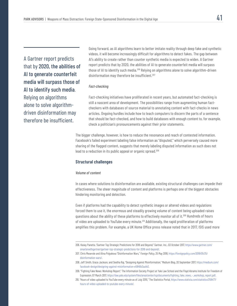A Gartner report predicts that by 2020, the abilities of AI to generate counterfeit media will surpass those of AI to identify such media. Relying on algorithms alone to solve algorithmdriven disinformation may therefore be insufficient.

Going forward, as AI algorithms learn to better imitate reality through deep fake and synthetic videos, it will become increasingly difficult for algorithms to detect fakes. The gap between AI's ability to create rather than counter synthetic media is expected to widen. A Gartner report predicts that by 2020, the abilities of AI to generate counterfeit media will surpass those of AI to identify such media.206 Relying on algorithms alone to solve algorithm-driven disinformation may therefore be insufficient.<sup>207</sup>

#### *Fact-checking*

Fact-checking initiatives have proliferated in recent years, but automated fact-checking is still a nascent area of development. The possibilities range from augmenting human factcheckers with databases of source material to annotating content with fact-checks in news articles. Ongoing hurdles include how to teach computers to discern the parts of a sentence that should be fact-checked, and how to build databases with enough content to, for example, check a politician's pronouncements against their prior statements.

The bigger challenge, however, is how to reduce the resonance and reach of contested information. Facebook's failed experiment labeling false information as "disputed," which perversely caused more sharing of the flagged content, suggests that merely labeling disputed information as such does not lead to a reduction in its public appeal or organic spread.<sup>208</sup>

### **Structural challenges**

### *Volume of content*

In cases where solutions to disinformation are available, existing structural challenges can impede their effectiveness. The sheer magnitude of content and platforms is perhaps one of the biggest obstacles hindering monitoring and detection.

Even if platforms had the capability to detect synthetic images or altered videos and regulations forced them to use it, the enormous and steadily growing volume of content being uploaded raises questions about the ability of these platforms to effectively monitor all of it.<sup>209</sup> Hundreds of hours of video are uploaded to YouTube every minute.<sup>210</sup> Additionally, the rapid proliferation of platforms amplifies this problem. For example, a UK Home Office press release noted that in 2017, ISIS used more

<sup>206.</sup> Kasey Panetta ,"Gartner Top Strategic Predictions for 2018 and Beyond," Gartner, Inc., 03 October 2017, https://www.gartner.com/ smarterwithgartner/gartner-top-strategic-predictions-for-2018-and-beyond/.

<sup>207.</sup> Chris Meserole and Alina Polyakova "Disinformation Wars," *Foreign Policy*, 25 May 2018, https://foreignpolicy.com/2018/05/25/ disinformation-wars/.

<sup>208.</sup> Jeff Smith, Grace Jackson, and Seetha Raj, "Designing Against Misinformation," Medium Blog, 20 September 2017, https://medium.com/ facebook-design/designing-against-misinformation-e5846b3aa1e2.

<sup>209. &</sup>quot;Fighting Fake News: Workshop Report," The Information Society Project at Yale Law School and the Floyd Abrams Institute for Freedom of Expression, 07 March 2017, https://law.yale.edu/system/files/area/center/isp/documents/fighting\_fake\_news\_-\_workshop\_report.pdf.

<sup>210. &</sup>quot;Hours of video uploaded to YouTube every minute as of July 2015," The Statistics Portal, https://www.statista.com/statistics/259477/ hours-of-video-uploaded-to-youtube-every-minute/.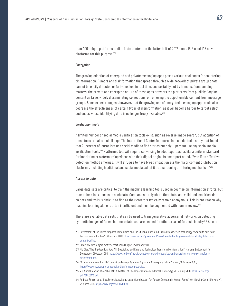than 400 unique platforms to distribute content. In the latter half of 2017 alone, ISIS used 145 new platforms for this purpose.<sup>211</sup>

#### *Encryption*

The growing adoption of encrypted and private messaging apps poses various challenges for countering disinformation. Rumors and disinformation that spread through a wide network of private group chats cannot be easily detected or fact-checked in real time, and certainly not by humans. Compounding matters, the private and encrypted nature of these apps prevents the platforms from publicly flagging content as false, widely disseminating corrections, or removing the objectionable content from message groups. Some experts suggest, however, that the growing use of encrypted messaging apps could also decrease the effectiveness of certain types of disinformation, as it will become harder to target select audiences whose identifying data is no longer freely available.<sup>212</sup>

### *Verification tools*

A limited number of social media verification tools exist, such as reverse image search, but adoption of these tools remains a challenge. The International Center for Journalists conducted a study that found that 71 percent of journalists use social media to find stories but only 11 percent use any social media verification tools.213 Platforms, too, will require convincing to adopt approaches like a uniform standard for imprinting or watermarking videos with their digital origin. As one report noted, "Even if an effective detection method emerges, it will struggle to have broad impact unless the major content distribution platforms, including traditional and social media, adopt it as a screening or filtering mechanism."<sup>214</sup>

### *Access to data*

Large data sets are critical to train the machine learning tools used in counter-disinformation efforts, but researchers lack access to such data. Companies rarely share their data, and validated, empirical data on bots and trolls is difficult to find as their creators typically remain anonymous. This is one reason why machine learning alone is often insufficient and must be augmented with human review.<sup>215</sup>

There are available data sets that can be used to train generative adversarial networks on detecting synthetic images of faces, but more data sets are needed for other areas of forensic inquiry.<sup>216</sup> As one

- 212. Interview with subject matter expert Sean Murphy, 12 January 2019.
- 213. Nic Dias, "The Big Question: How Will 'Deepfakes' and Emerging Technology Transform Disinformation?" National Endowment for Democracy, 01 October 2018, https://www.ned.org/the-big-question-how-will-deepfakes-and-emerging-technology-transformdisinformation/.
- 214. "Disinformation on Steroids," Council on Foreign Relations Digital and Cyberspace Policy Program, 16 October 2018, https://www.cfr.org/report/deep-fake-disinformation-steroids.
- 215. V.S. Subrahmanian et al, "The DARPA Twitter Bot Challenge," (On file with Cornell University), 20 January 2016, https://arxiv.org/ pdf/1601.05140.pdf.
- 216. Andreas Rössler et al, "FaceForensics: A Large-scale Video Dataset for Forgery Detection in Human Faces," (On file with Cornell University), 24 March 2018, https://arxiv.org/abs/1803.09179.

<sup>211.</sup> Government of the United Kingdom Home Office and The Rt Hon Amber Rudd, Press Release, "New technology revealed to help fight terrorist content online," 13 February 2018, https://www.gov.uk/government/news/new-technology-revealed-to-help-fight-terroristcontent-online.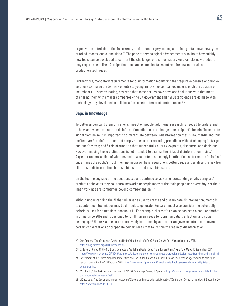organization noted, detection is currently easier than forgery so long as training data shows new types of faked images, audio, and video.<sup>217</sup> The pace of technological advancements also limits how quickly new tools can be developed to confront the challenges of disinformation. For example, new products may require specialized AI chips that can handle complex tasks but require new materials and production techniques.218

Furthermore, mandatory requirements for disinformation monitoring that require expensive or complex solutions can raise the barriers of entry to young, innovative companies and entrench the position of incumbents. It is worth noting, however, that some parties have developed solutions with the intent of sharing them with smaller companies – the UK government and ASI Data Science are doing so with technology they developed in collaboration to detect terrorist content online.<sup>219</sup>

### **Gaps in knowledge**

To better understand disinformation's impact on people, additional research is needed to understand if, how, and when exposure to disinformation influences or changes the recipient's beliefs. To separate signal from noise, it is important to differentiate between 1) disinformation that is inauthentic and thus ineffective; 2) disinformation that simply appeals to preexisting prejudices without changing its target audience's views; and 3) disinformation that successfully alters viewpoints, discourse, and decisions. However, making these distinctions is not intended to dismiss the risks of disinformation "noise." A greater understanding of whether, and to what extent, seemingly inauthentic disinformation "noise" still undermines the public's trust in online media will help researchers better gauge and analyze the risk from all forms of disinformation, both sophisticated and unsophisticated.

On the technology side of the equation, experts continue to lack an understanding of why complex AI products behave as they do. Neural networks underpin many of the tools people use every day. Yet their inner workings are sometimes beyond comprehension.<sup>220</sup>

Without understanding the AI that adversaries use to create and disseminate disinformation, methods to counter such techniques may be difficult to generate. Research must also consider the potentially nefarious uses for ostensibly innocuous AI. For example, Microsoft's XiaoIce has been a popular chatbot in China since 2014 and is designed to fulfill human needs for communication, affection, and social belonging.221 AI like XiaoIce could conceivably be trained by authoritarian governments to circumvent certain conversations or propagate certain ideas that fall within the realm of disinformation.

<sup>217.</sup> Sam Gregory, "Deepfakes and Synthethic Media: What Should We Fear? What Can We Do?" Witness Blog, July 2018, https://blog.witness.org/2018/07/deepfakes/.

<sup>218.</sup> Cade Metz, "Chips Off the Old Block: Computers Are Taking Design Cues From Human Brains," *New York Times*, 16 September 2017, https://www.nytimes.com/2017/09/16/technology/chips-off-the-old-block-computers-are-taking-design-cues-from-human-brains.html.

<sup>219.</sup> Government of the United Kingdom Home Office and The Rt Hon Amber Rudd, Press Release, "New technology revealed to help fight terrorist content online," 13 February 2018, https://www.gov.uk/government/news/new-technology-revealed-to-help-fight-terroristcontent-online.

<sup>220.</sup> Will Knight, "The Dark Secret at the Heart of AI," *MIT Technology Review*, 11 April 2017, https://www.technologyreview.com/s/604087/thedark-secret-at-the-heart-of-ai/.

<sup>221.</sup> Li Zhou et al, "The Design and Implementation of XiaoIce, an Empathetic Social Chatbot," (On file with Cornell University), 21 December 2018, https://arxiv.org/abs/1812.08989.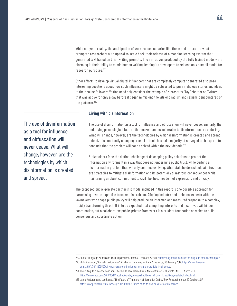While not yet a reality, the anticipation of worst-case scenarios like these and others are what prompted researchers with OpenAI to scale back their release of a machine learning system that generated text based on brief writing prompts. The narratives produced by the fully trained model were alarming in their ability to mimic human writing, leading its developers to release only a small model for research purposes.<sup>222</sup>

Other efforts to develop virtual digital influencers that are completely computer-generated also pose interesting questions about how such influencers might be subverted to push malicious stories and ideas to their online followers.<sup>223</sup> One need only consider the example of Microsoft's "Tay" chatbot on Twitter that was active for only a day before it began mimicking the vitriolic racism and sexism it encountered on the platform.224

### **Living with disinformation**

The use of disinformation as a tool for influence and obfuscation will never cease. What will change, however, are the technologies by which disinformation is created and spread.

The use of disinformation as a tool for influence and obfuscation will never cease. Similarly, the underlying psychological factors that make humans vulnerable to disinformation are enduring. What will change, however, are the technologies by which disinformation is created and spread. Indeed, this constantly changing arsenal of tools has led a majority of surveyed tech experts to conclude that the problem will not be solved within the next decade.<sup>225</sup>

Stakeholders face the distinct challenge of developing policy solutions to protect the information environment in a way that does not undermine public trust, while curbing a disinformation problem that will only continue evolving. What stakeholders should aim for, then, are strategies to mitigate disinformation and its potentially disastrous consequences while maintaining a robust commitment to civil liberties, freedom of expression, and privacy.

The proposed public-private partnership model included in this report is one possible approach for harnessing diverse expertise to solve this problem. Aligning industry and technical experts with the lawmakers who shape public policy will help produce an informed and measured response to a complex, rapidly transforming threat. It is to be expected that competing interests and incentives will hinder coordination, but a collaborative public-private framework is a prudent foundation on which to build consensus and coordinate action.

222. "Better Language Models and Their Implications," OpenAI, February 14, 2019, https://blog.openai.com/better-language-models/#sample2.

<sup>223.</sup> Julia Alexander, "Virtual creators aren't AI - but AI is coming for them," *The Verge*, 30 January 2019, https://www.theverge. com/2019/1/30/18200509/ai-virtual-creators-lil-miquela-instagram-artificial-intelligence.

<sup>224.</sup> Ingrid Angulo, "Facebook and YouTube should have learned from Microsoft's racist chatbot," CNBC, 17 March 2018, https://www.cnbc.com/2018/03/17/facebook-and-youtube-should-learn-from-microsoft-tay-racist-chatbot.html.

<sup>225</sup> Janna Anderson and Lee Rainee, "The Future of Truth and Misinformation Online," Pew Research Center, 19 October 2017, http://www.pewinternetInternet.org/2017/10/19/the-future-of-truth-and-misinformation-online/.